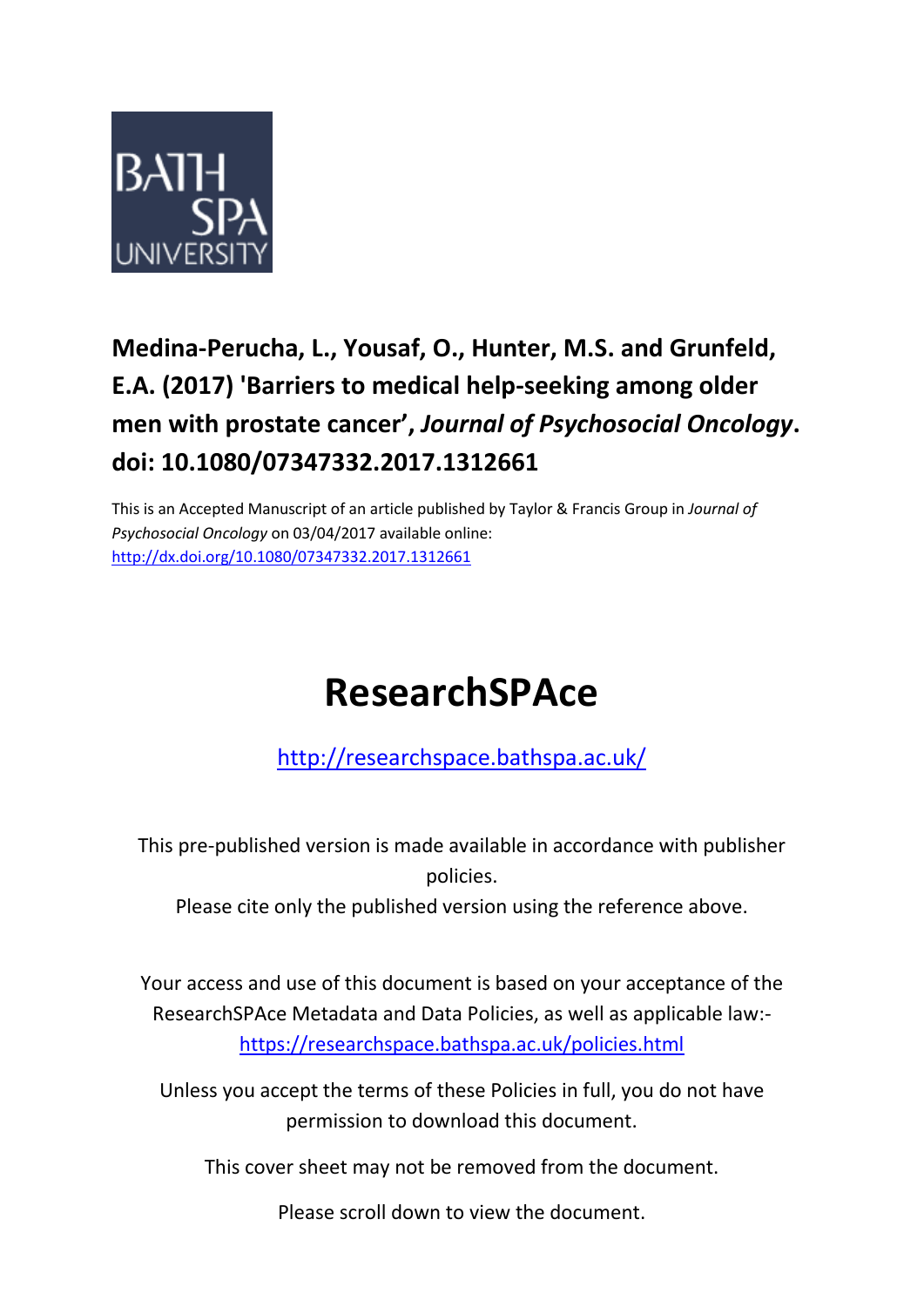

## **Medina-Perucha, L., Yousaf, O., Hunter, M.S. and Grunfeld, E.A. (2017) 'Barriers to medical help-seeking among older men with prostate cancer' ,** *Journal of Psychosocial Oncology***. doi: 10.1080/07347332.2017.1312661**

This is an Accepted Manuscript of an article published by Taylor & Francis Group in *Journal of Psychosocial Oncology* on 03/04/2017 available online: <http://dx.doi.org/10.1080/07347332.2017.1312661>

# **ResearchSPAce**

<http://researchspace.bathspa.ac.uk/>

This pre-published version is made available in accordance with publisher policies.

Please cite only the published version using the reference above.

Your access and use of this document is based on your acceptance of the ResearchSPAce Metadata and Data Policies, as well as applicable law: https://researchspace.bathspa.ac.uk/policies.html

Unless you accept the terms of these Policies in full, you do not have permission to download this document.

This cover sheet may not be removed from the document.

Please scroll down to view the document.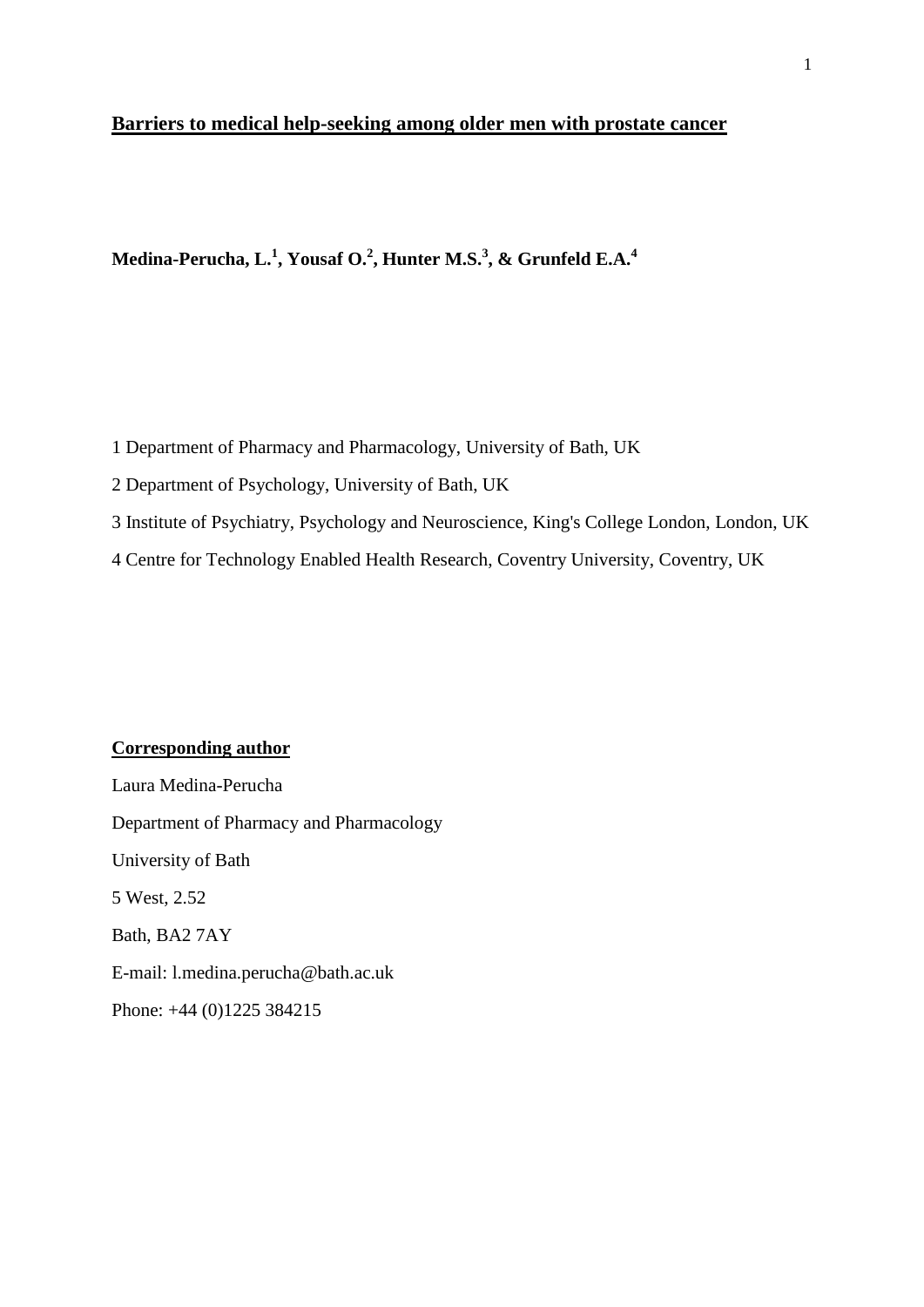#### **Barriers to medical help-seeking among older men with prostate cancer**

**Medina-Perucha, L.<sup>1</sup> , Yousaf O.<sup>2</sup> , Hunter M.S.<sup>3</sup> , & Grunfeld E.A.<sup>4</sup>**

1 Department of Pharmacy and Pharmacology, University of Bath, UK

2 Department of Psychology, University of Bath, UK

3 Institute of Psychiatry, Psychology and Neuroscience, King's College London, London, UK

4 Centre for Technology Enabled Health Research, Coventry University, Coventry, UK

#### **Corresponding author**

Laura Medina-Perucha Department of Pharmacy and Pharmacology University of Bath 5 West, 2.52 Bath, BA2 7AY E-mail: l.medina.perucha@bath.ac.uk Phone: +44 (0)1225 384215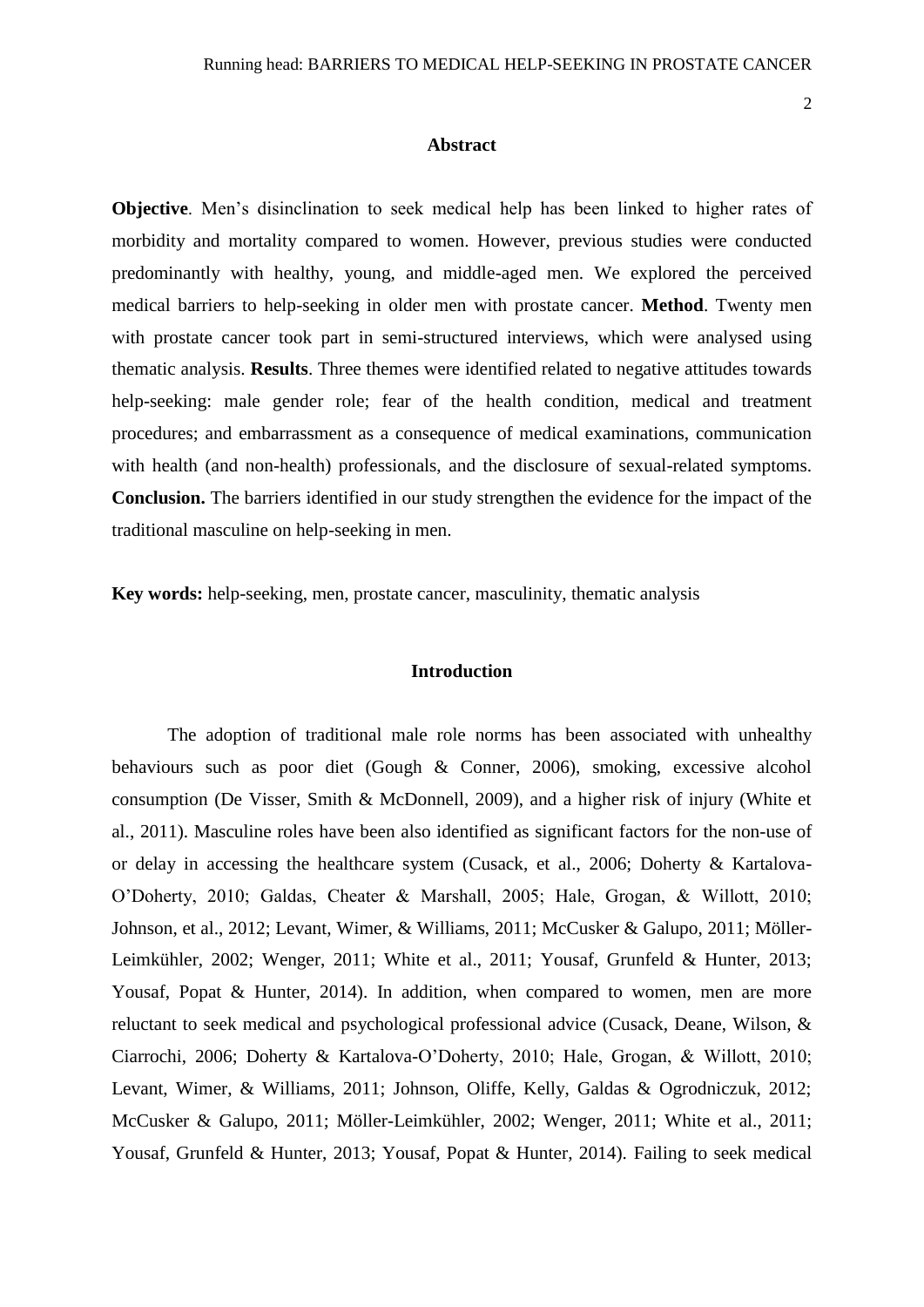#### **Abstract**

**Objective**. Men's disinclination to seek medical help has been linked to higher rates of morbidity and mortality compared to women. However, previous studies were conducted predominantly with healthy, young, and middle-aged men. We explored the perceived medical barriers to help-seeking in older men with prostate cancer. **Method**. Twenty men with prostate cancer took part in semi-structured interviews, which were analysed using thematic analysis. **Results**. Three themes were identified related to negative attitudes towards help-seeking: male gender role; fear of the health condition, medical and treatment procedures; and embarrassment as a consequence of medical examinations, communication with health (and non-health) professionals, and the disclosure of sexual-related symptoms. **Conclusion.** The barriers identified in our study strengthen the evidence for the impact of the traditional masculine on help-seeking in men.

**Key words:** help-seeking, men, prostate cancer, masculinity, thematic analysis

#### **Introduction**

The adoption of traditional male role norms has been associated with unhealthy behaviours such as poor diet (Gough & Conner, 2006), smoking, excessive alcohol consumption (De Visser, Smith & McDonnell, 2009), and a higher risk of injury (White et al., 2011). Masculine roles have been also identified as significant factors for the non-use of or delay in accessing the healthcare system (Cusack, et al., 2006; Doherty & Kartalova-O'Doherty, 2010; Galdas, Cheater & Marshall, 2005; Hale, Grogan, & Willott, 2010; Johnson, et al., 2012; Levant, Wimer, & Williams, 2011; McCusker & Galupo, 2011; Möller-Leimkühler, 2002; Wenger, 2011; White et al., 2011; Yousaf, Grunfeld & Hunter, 2013; Yousaf, Popat & Hunter, 2014). In addition, when compared to women, men are more reluctant to seek medical and psychological professional advice (Cusack, Deane, Wilson, & Ciarrochi, 2006; Doherty & Kartalova-O'Doherty, 2010; Hale, Grogan, & Willott, 2010; Levant, Wimer, & Williams, 2011; Johnson, Oliffe, Kelly, Galdas & Ogrodniczuk, 2012; McCusker & Galupo, 2011; Möller-Leimkühler, 2002; Wenger, 2011; White et al., 2011; Yousaf, Grunfeld & Hunter, 2013; Yousaf, Popat & Hunter, 2014). Failing to seek medical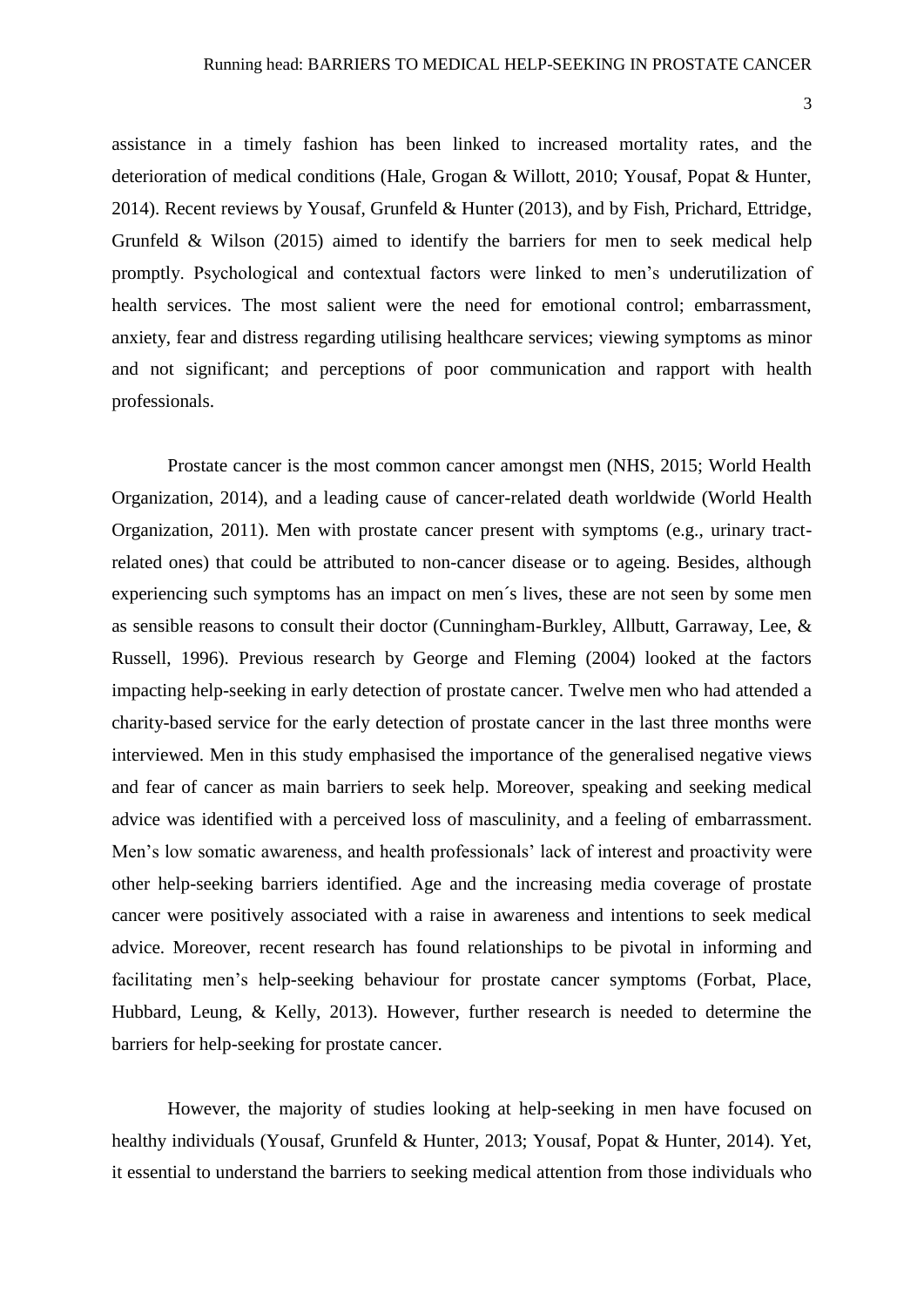assistance in a timely fashion has been linked to increased mortality rates, and the deterioration of medical conditions (Hale, Grogan & Willott, 2010; Yousaf, Popat & Hunter, 2014). Recent reviews by Yousaf, Grunfeld & Hunter (2013), and by Fish, Prichard, Ettridge, Grunfeld & Wilson (2015) aimed to identify the barriers for men to seek medical help promptly. Psychological and contextual factors were linked to men's underutilization of health services. The most salient were the need for emotional control; embarrassment, anxiety, fear and distress regarding utilising healthcare services; viewing symptoms as minor and not significant; and perceptions of poor communication and rapport with health professionals.

Prostate cancer is the most common cancer amongst men (NHS, 2015; World Health Organization, 2014), and a leading cause of cancer-related death worldwide (World Health Organization, 2011). Men with prostate cancer present with symptoms (e.g., urinary tractrelated ones) that could be attributed to non-cancer disease or to ageing. Besides, although experiencing such symptoms has an impact on men´s lives, these are not seen by some men as sensible reasons to consult their doctor (Cunningham-Burkley, Allbutt, Garraway, Lee, & Russell, 1996). Previous research by George and Fleming (2004) looked at the factors impacting help-seeking in early detection of prostate cancer. Twelve men who had attended a charity-based service for the early detection of prostate cancer in the last three months were interviewed. Men in this study emphasised the importance of the generalised negative views and fear of cancer as main barriers to seek help. Moreover, speaking and seeking medical advice was identified with a perceived loss of masculinity, and a feeling of embarrassment. Men's low somatic awareness, and health professionals' lack of interest and proactivity were other help-seeking barriers identified. Age and the increasing media coverage of prostate cancer were positively associated with a raise in awareness and intentions to seek medical advice. Moreover, recent research has found relationships to be pivotal in informing and facilitating men's help-seeking behaviour for prostate cancer symptoms (Forbat, Place, Hubbard, Leung, & Kelly, 2013). However, further research is needed to determine the barriers for help-seeking for prostate cancer.

However, the majority of studies looking at help-seeking in men have focused on healthy individuals (Yousaf, Grunfeld & Hunter, 2013; Yousaf, Popat & Hunter, 2014). Yet, it essential to understand the barriers to seeking medical attention from those individuals who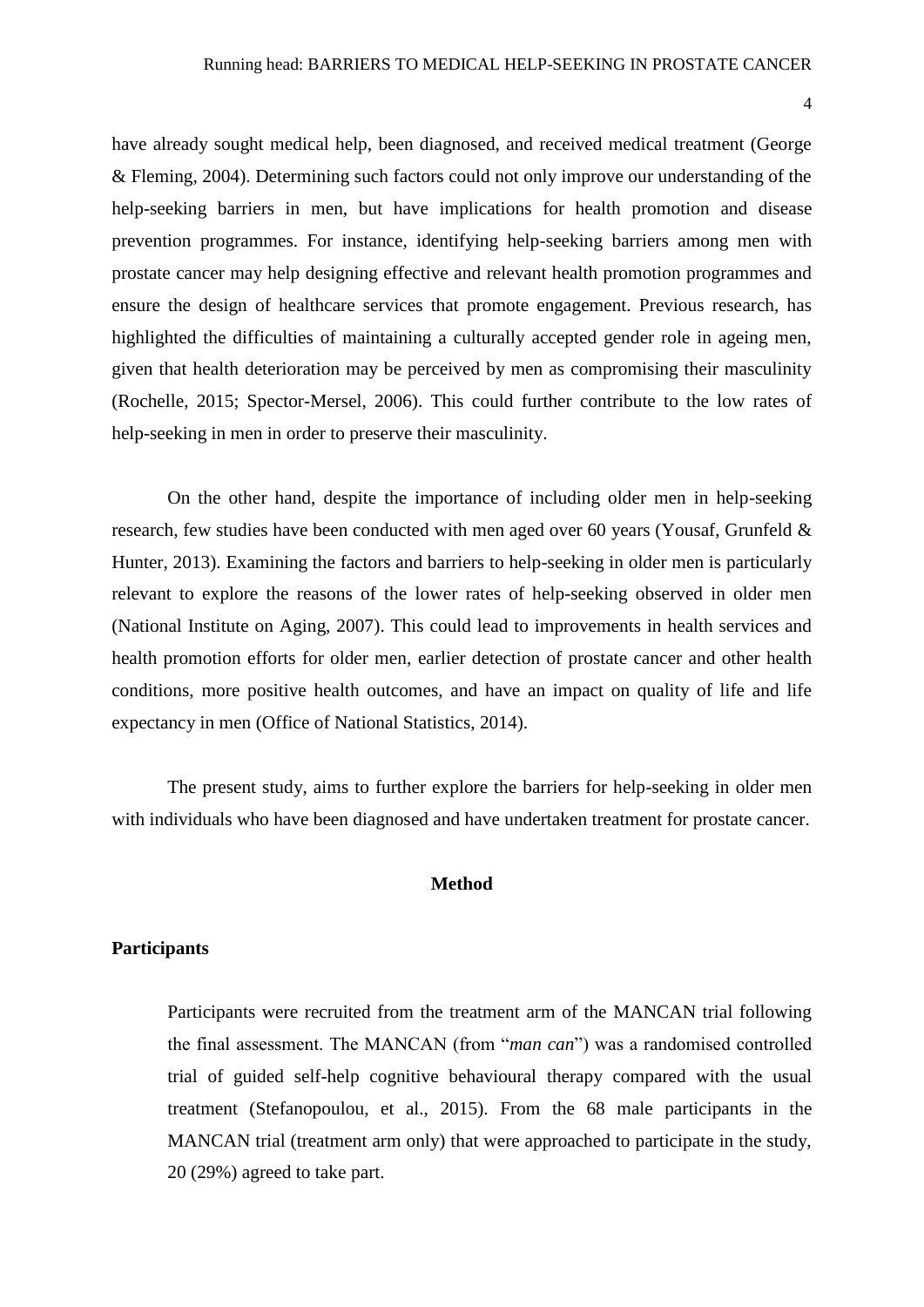have already sought medical help, been diagnosed, and received medical treatment (George & Fleming, 2004). Determining such factors could not only improve our understanding of the help-seeking barriers in men, but have implications for health promotion and disease prevention programmes. For instance, identifying help-seeking barriers among men with prostate cancer may help designing effective and relevant health promotion programmes and ensure the design of healthcare services that promote engagement. Previous research, has highlighted the difficulties of maintaining a culturally accepted gender role in ageing men, given that health deterioration may be perceived by men as compromising their masculinity (Rochelle, 2015; Spector-Mersel, 2006). This could further contribute to the low rates of help-seeking in men in order to preserve their masculinity.

On the other hand, despite the importance of including older men in help-seeking research, few studies have been conducted with men aged over 60 years (Yousaf, Grunfeld & Hunter, 2013). Examining the factors and barriers to help-seeking in older men is particularly relevant to explore the reasons of the lower rates of help-seeking observed in older men (National Institute on Aging, 2007). This could lead to improvements in health services and health promotion efforts for older men, earlier detection of prostate cancer and other health conditions, more positive health outcomes, and have an impact on quality of life and life expectancy in men (Office of National Statistics, 2014).

The present study, aims to further explore the barriers for help-seeking in older men with individuals who have been diagnosed and have undertaken treatment for prostate cancer.

#### **Method**

#### **Participants**

Participants were recruited from the treatment arm of the MANCAN trial following the final assessment. The MANCAN (from "*man can*") was a randomised controlled trial of guided self-help cognitive behavioural therapy compared with the usual treatment (Stefanopoulou, et al., 2015). From the 68 male participants in the MANCAN trial (treatment arm only) that were approached to participate in the study, 20 (29%) agreed to take part.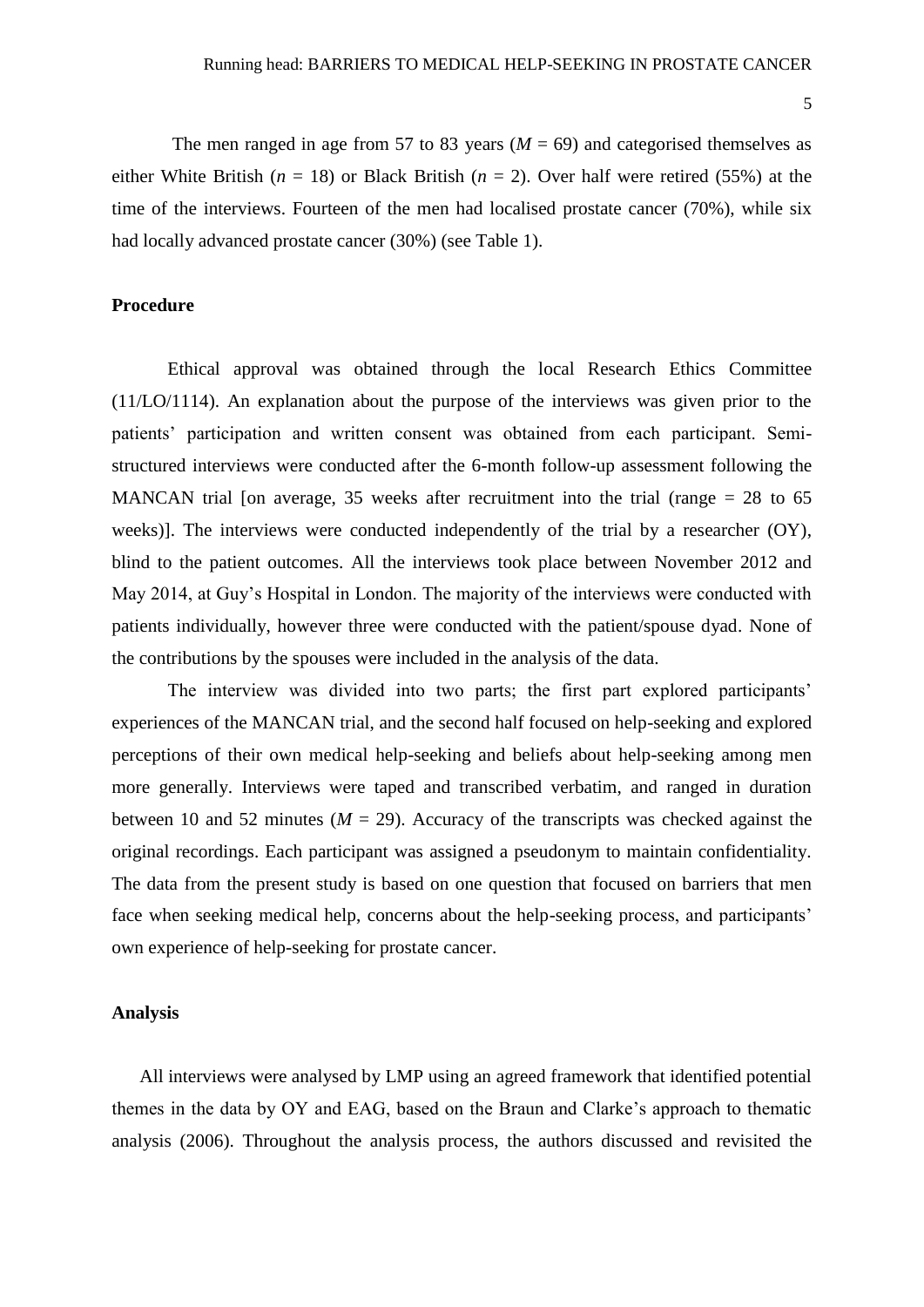The men ranged in age from 57 to 83 years  $(M = 69)$  and categorised themselves as either White British (*n* = 18) or Black British (*n* = 2). Over half were retired (55%) at the time of the interviews. Fourteen of the men had localised prostate cancer (70%), while six had locally advanced prostate cancer (30%) (see Table 1).

#### **Procedure**

Ethical approval was obtained through the local Research Ethics Committee (11/LO/1114). An explanation about the purpose of the interviews was given prior to the patients' participation and written consent was obtained from each participant. Semistructured interviews were conducted after the 6-month follow-up assessment following the MANCAN trial [on average, 35 weeks after recruitment into the trial (range  $= 28$  to 65 weeks)]. The interviews were conducted independently of the trial by a researcher (OY), blind to the patient outcomes. All the interviews took place between November 2012 and May 2014, at Guy's Hospital in London. The majority of the interviews were conducted with patients individually, however three were conducted with the patient/spouse dyad. None of the contributions by the spouses were included in the analysis of the data.

The interview was divided into two parts; the first part explored participants' experiences of the MANCAN trial, and the second half focused on help-seeking and explored perceptions of their own medical help-seeking and beliefs about help-seeking among men more generally. Interviews were taped and transcribed verbatim, and ranged in duration between 10 and 52 minutes ( $M = 29$ ). Accuracy of the transcripts was checked against the original recordings. Each participant was assigned a pseudonym to maintain confidentiality. The data from the present study is based on one question that focused on barriers that men face when seeking medical help, concerns about the help-seeking process, and participants' own experience of help-seeking for prostate cancer.

#### **Analysis**

All interviews were analysed by LMP using an agreed framework that identified potential themes in the data by OY and EAG, based on the Braun and Clarke's approach to thematic analysis (2006). Throughout the analysis process, the authors discussed and revisited the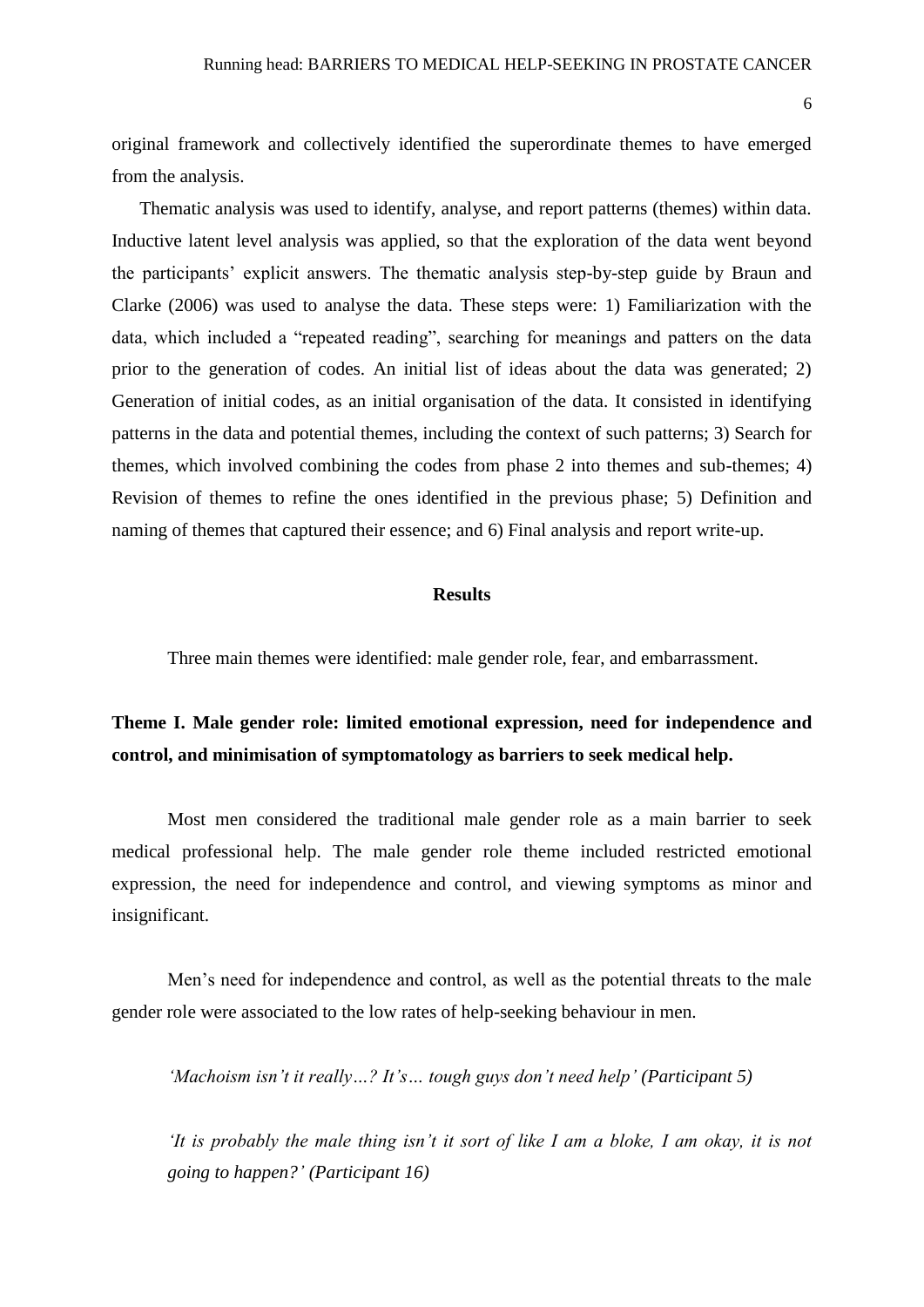original framework and collectively identified the superordinate themes to have emerged from the analysis.

Thematic analysis was used to identify, analyse, and report patterns (themes) within data. Inductive latent level analysis was applied, so that the exploration of the data went beyond the participants' explicit answers. The thematic analysis step-by-step guide by Braun and Clarke (2006) was used to analyse the data. These steps were: 1) Familiarization with the data, which included a "repeated reading", searching for meanings and patters on the data prior to the generation of codes. An initial list of ideas about the data was generated; 2) Generation of initial codes, as an initial organisation of the data. It consisted in identifying patterns in the data and potential themes, including the context of such patterns; 3) Search for themes, which involved combining the codes from phase 2 into themes and sub-themes; 4) Revision of themes to refine the ones identified in the previous phase; 5) Definition and naming of themes that captured their essence; and 6) Final analysis and report write-up.

#### **Results**

Three main themes were identified: male gender role, fear, and embarrassment.

### **Theme I. Male gender role: limited emotional expression, need for independence and control, and minimisation of symptomatology as barriers to seek medical help.**

Most men considered the traditional male gender role as a main barrier to seek medical professional help. The male gender role theme included restricted emotional expression, the need for independence and control, and viewing symptoms as minor and insignificant.

Men's need for independence and control, as well as the potential threats to the male gender role were associated to the low rates of help-seeking behaviour in men.

*'Machoism isn't it really…? It's… tough guys don't need help' (Participant 5)* 

*'It is probably the male thing isn't it sort of like I am a bloke, I am okay, it is not going to happen?' (Participant 16)*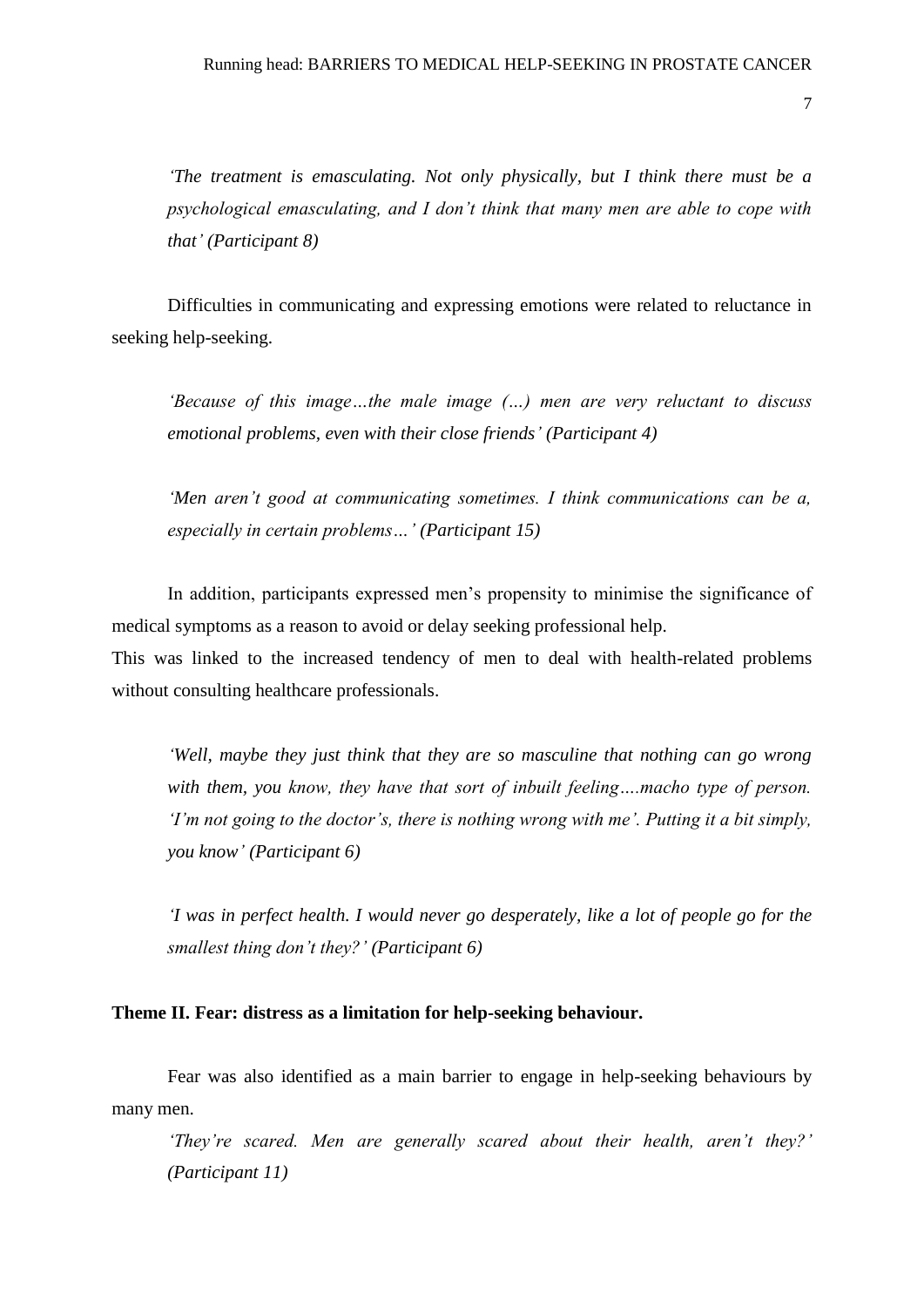*'The treatment is emasculating. Not only physically, but I think there must be a psychological emasculating, and I don't think that many men are able to cope with that' (Participant 8)*

Difficulties in communicating and expressing emotions were related to reluctance in seeking help-seeking.

*'Because of this image…the male image (…) men are very reluctant to discuss emotional problems, even with their close friends' (Participant 4)*

*'Men aren't good at communicating sometimes. I think communications can be a, especially in certain problems…' (Participant 15)*

In addition, participants expressed men's propensity to minimise the significance of medical symptoms as a reason to avoid or delay seeking professional help.

This was linked to the increased tendency of men to deal with health-related problems without consulting healthcare professionals.

*'Well, maybe they just think that they are so masculine that nothing can go wrong with them, you know, they have that sort of inbuilt feeling….macho type of person. 'I'm not going to the doctor's, there is nothing wrong with me'. Putting it a bit simply, you know' (Participant 6)*

*'I was in perfect health. I would never go desperately, like a lot of people go for the smallest thing don't they?' (Participant 6)*

#### **Theme II. Fear: distress as a limitation for help-seeking behaviour.**

Fear was also identified as a main barrier to engage in help-seeking behaviours by many men.

*'They're scared. Men are generally scared about their health, aren't they?' (Participant 11)*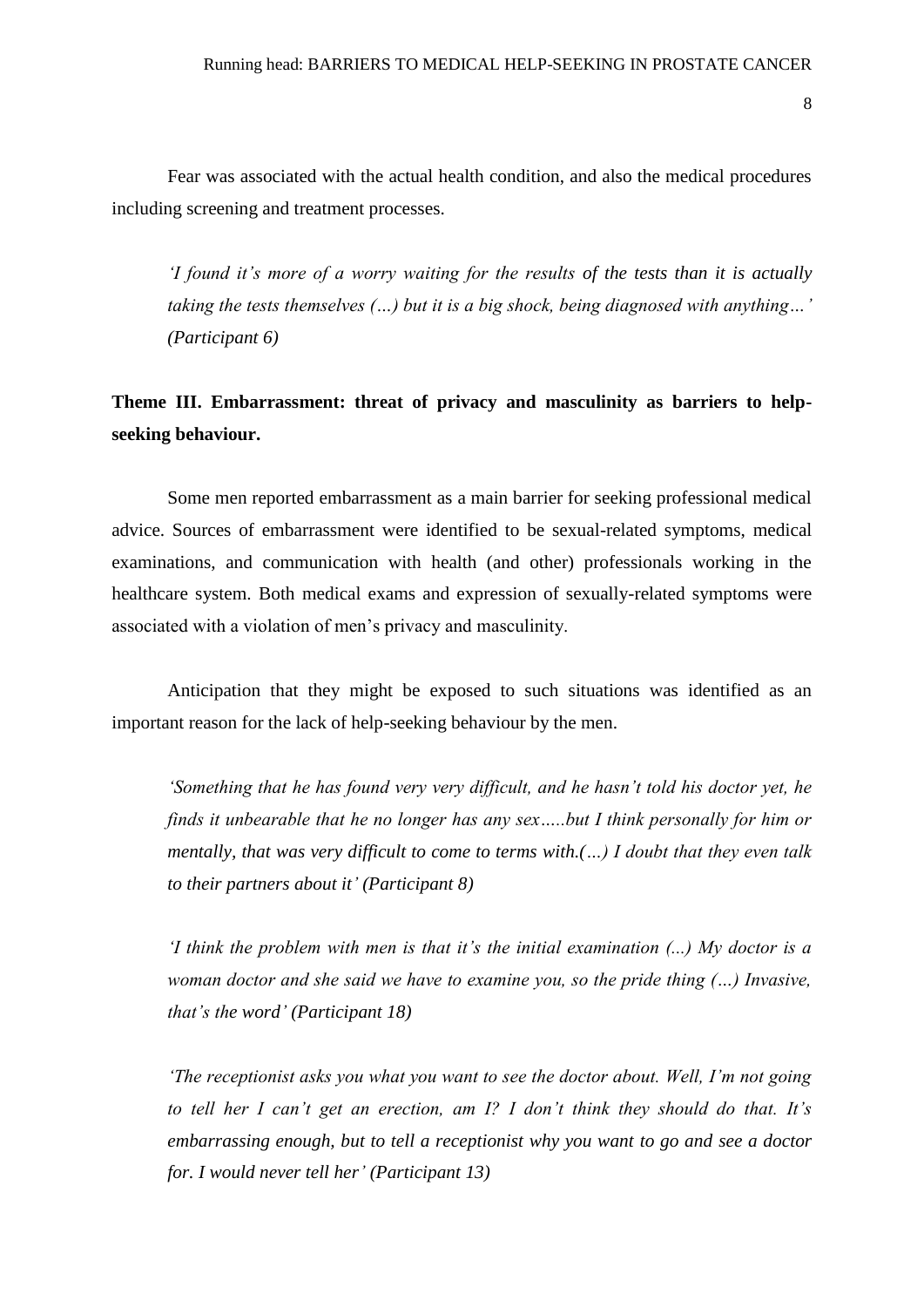Fear was associated with the actual health condition, and also the medical procedures including screening and treatment processes.

*'I found it's more of a worry waiting for the results of the tests than it is actually taking the tests themselves (…) but it is a big shock, being diagnosed with anything…' (Participant 6)*

**Theme III. Embarrassment: threat of privacy and masculinity as barriers to helpseeking behaviour.**

Some men reported embarrassment as a main barrier for seeking professional medical advice. Sources of embarrassment were identified to be sexual-related symptoms, medical examinations, and communication with health (and other) professionals working in the healthcare system. Both medical exams and expression of sexually-related symptoms were associated with a violation of men's privacy and masculinity.

Anticipation that they might be exposed to such situations was identified as an important reason for the lack of help-seeking behaviour by the men.

*'Something that he has found very very difficult, and he hasn't told his doctor yet, he finds it unbearable that he no longer has any sex…..but I think personally for him or mentally, that was very difficult to come to terms with.(…) I doubt that they even talk to their partners about it' (Participant 8)*

*'I think the problem with men is that it's the initial examination (...) My doctor is a woman doctor and she said we have to examine you, so the pride thing (…) Invasive, that's the word' (Participant 18)*

*'The receptionist asks you what you want to see the doctor about. Well, I'm not going to tell her I can't get an erection, am I? I don't think they should do that. It's embarrassing enough, but to tell a receptionist why you want to go and see a doctor for. I would never tell her' (Participant 13)*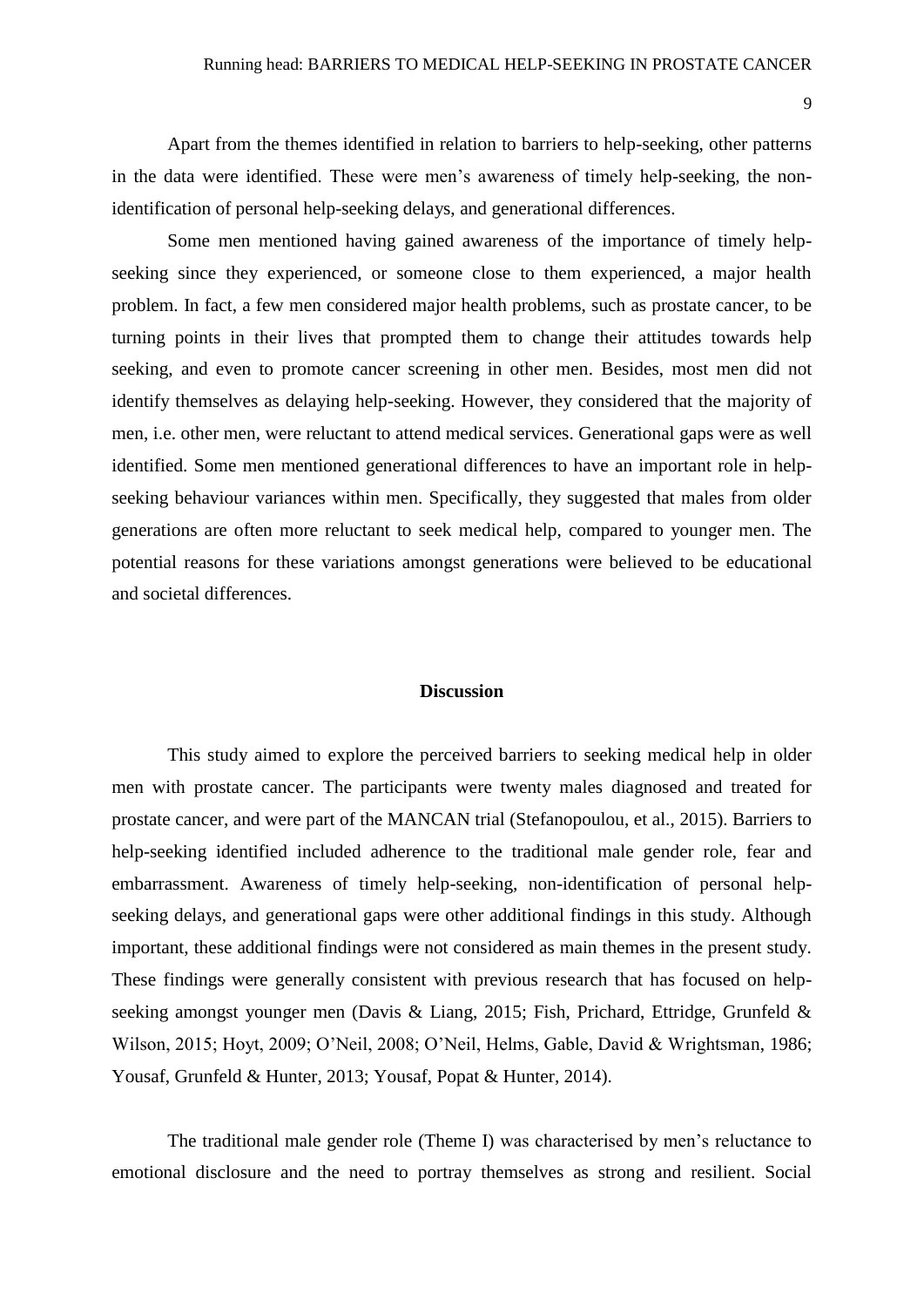Apart from the themes identified in relation to barriers to help-seeking, other patterns in the data were identified. These were men's awareness of timely help-seeking, the nonidentification of personal help-seeking delays, and generational differences.

Some men mentioned having gained awareness of the importance of timely helpseeking since they experienced, or someone close to them experienced, a major health problem. In fact, a few men considered major health problems, such as prostate cancer, to be turning points in their lives that prompted them to change their attitudes towards help seeking, and even to promote cancer screening in other men. Besides, most men did not identify themselves as delaying help-seeking. However, they considered that the majority of men, i.e. other men, were reluctant to attend medical services. Generational gaps were as well identified. Some men mentioned generational differences to have an important role in helpseeking behaviour variances within men. Specifically, they suggested that males from older generations are often more reluctant to seek medical help, compared to younger men. The potential reasons for these variations amongst generations were believed to be educational and societal differences.

#### **Discussion**

This study aimed to explore the perceived barriers to seeking medical help in older men with prostate cancer. The participants were twenty males diagnosed and treated for prostate cancer, and were part of the MANCAN trial (Stefanopoulou, et al., 2015). Barriers to help-seeking identified included adherence to the traditional male gender role, fear and embarrassment. Awareness of timely help-seeking, non-identification of personal helpseeking delays, and generational gaps were other additional findings in this study. Although important, these additional findings were not considered as main themes in the present study. These findings were generally consistent with previous research that has focused on helpseeking amongst younger men (Davis & Liang, 2015; Fish, Prichard, Ettridge, Grunfeld & Wilson, 2015; Hoyt, 2009; O'Neil, 2008; O'Neil, Helms, Gable, David & Wrightsman, 1986; Yousaf, Grunfeld & Hunter, 2013; Yousaf, Popat & Hunter, 2014).

The traditional male gender role (Theme I) was characterised by men's reluctance to emotional disclosure and the need to portray themselves as strong and resilient. Social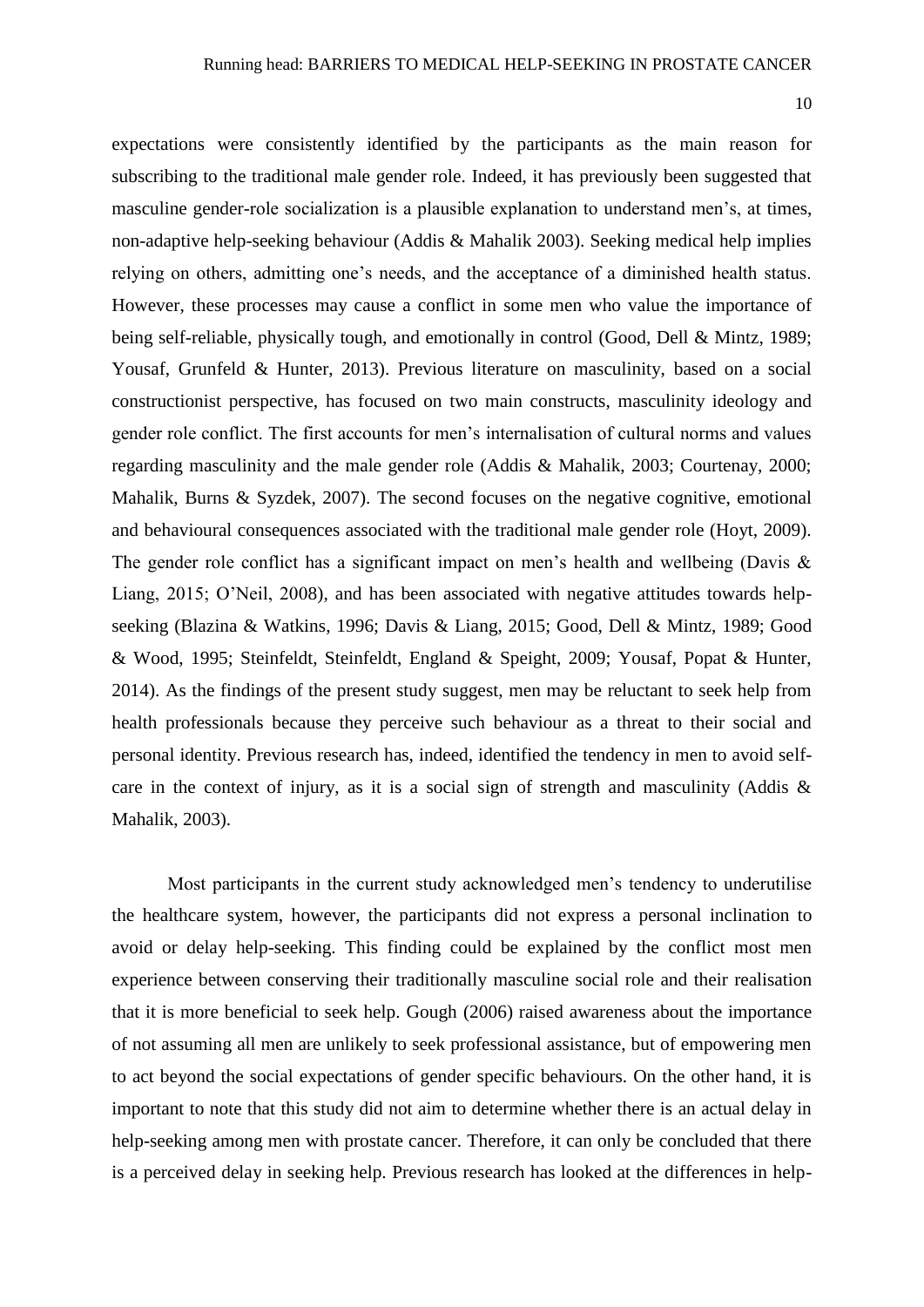expectations were consistently identified by the participants as the main reason for subscribing to the traditional male gender role. Indeed, it has previously been suggested that masculine gender-role socialization is a plausible explanation to understand men's, at times, non-adaptive help-seeking behaviour (Addis & Mahalik 2003). Seeking medical help implies relying on others, admitting one's needs, and the acceptance of a diminished health status. However, these processes may cause a conflict in some men who value the importance of being self-reliable, physically tough, and emotionally in control (Good, Dell & Mintz, 1989; Yousaf, Grunfeld & Hunter, 2013). Previous literature on masculinity, based on a social constructionist perspective, has focused on two main constructs, masculinity ideology and gender role conflict. The first accounts for men's internalisation of cultural norms and values regarding masculinity and the male gender role (Addis & Mahalik, 2003; Courtenay, 2000; Mahalik, Burns & Syzdek, 2007). The second focuses on the negative cognitive, emotional and behavioural consequences associated with the traditional male gender role (Hoyt, 2009). The gender role conflict has a significant impact on men's health and wellbeing (Davis  $\&$ Liang, 2015; O'Neil, 2008), and has been associated with negative attitudes towards helpseeking (Blazina & Watkins, 1996; Davis & Liang, 2015; Good, Dell & Mintz, 1989; Good & Wood, 1995; Steinfeldt, Steinfeldt, England & Speight, 2009; Yousaf, Popat & Hunter, 2014). As the findings of the present study suggest, men may be reluctant to seek help from health professionals because they perceive such behaviour as a threat to their social and personal identity. Previous research has, indeed, identified the tendency in men to avoid selfcare in the context of injury, as it is a social sign of strength and masculinity (Addis & Mahalik, 2003).

Most participants in the current study acknowledged men's tendency to underutilise the healthcare system, however, the participants did not express a personal inclination to avoid or delay help-seeking. This finding could be explained by the conflict most men experience between conserving their traditionally masculine social role and their realisation that it is more beneficial to seek help. Gough (2006) raised awareness about the importance of not assuming all men are unlikely to seek professional assistance, but of empowering men to act beyond the social expectations of gender specific behaviours. On the other hand, it is important to note that this study did not aim to determine whether there is an actual delay in help-seeking among men with prostate cancer. Therefore, it can only be concluded that there is a perceived delay in seeking help. Previous research has looked at the differences in help-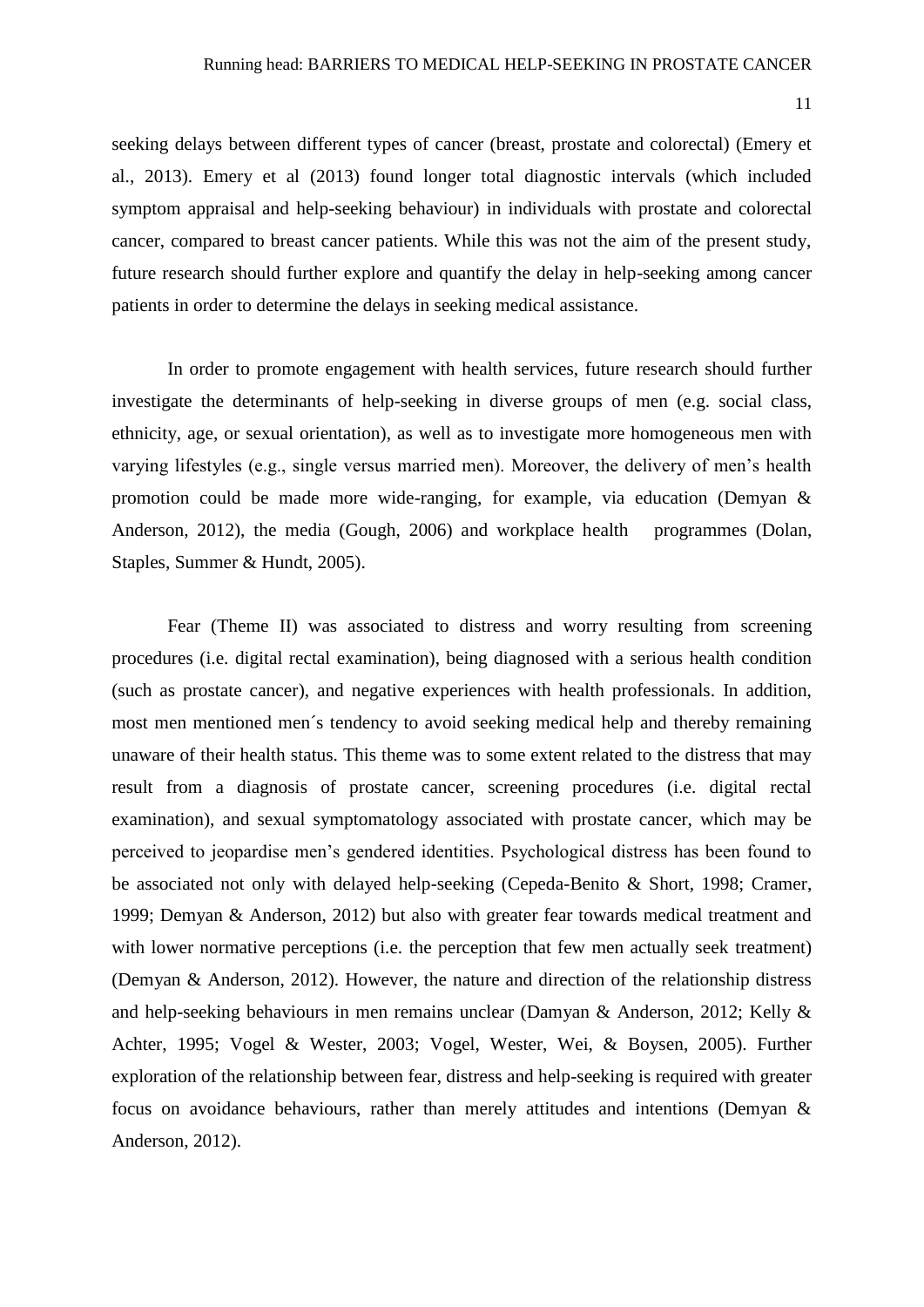seeking delays between different types of cancer (breast, prostate and colorectal) (Emery et al., 2013). Emery et al (2013) found longer total diagnostic intervals (which included symptom appraisal and help-seeking behaviour) in individuals with prostate and colorectal cancer, compared to breast cancer patients. While this was not the aim of the present study, future research should further explore and quantify the delay in help-seeking among cancer patients in order to determine the delays in seeking medical assistance.

In order to promote engagement with health services, future research should further investigate the determinants of help-seeking in diverse groups of men (e.g. social class, ethnicity, age, or sexual orientation), as well as to investigate more homogeneous men with varying lifestyles (e.g., single versus married men). Moreover, the delivery of men's health promotion could be made more wide-ranging, for example, via education (Demyan & Anderson, 2012), the media (Gough, 2006) and workplace health programmes (Dolan, Staples, Summer & Hundt, 2005).

Fear (Theme II) was associated to distress and worry resulting from screening procedures (i.e. digital rectal examination), being diagnosed with a serious health condition (such as prostate cancer), and negative experiences with health professionals. In addition, most men mentioned men´s tendency to avoid seeking medical help and thereby remaining unaware of their health status. This theme was to some extent related to the distress that may result from a diagnosis of prostate cancer, screening procedures (i.e. digital rectal examination), and sexual symptomatology associated with prostate cancer, which may be perceived to jeopardise men's gendered identities. Psychological distress has been found to be associated not only with delayed help-seeking (Cepeda-Benito & Short, 1998; Cramer, 1999; Demyan & Anderson, 2012) but also with greater fear towards medical treatment and with lower normative perceptions (i.e. the perception that few men actually seek treatment) (Demyan & Anderson, 2012). However, the nature and direction of the relationship distress and help-seeking behaviours in men remains unclear (Damyan & Anderson, 2012; Kelly & Achter, 1995; Vogel & Wester, 2003; Vogel, Wester, Wei, & Boysen, 2005). Further exploration of the relationship between fear, distress and help-seeking is required with greater focus on avoidance behaviours, rather than merely attitudes and intentions (Demyan & Anderson, 2012).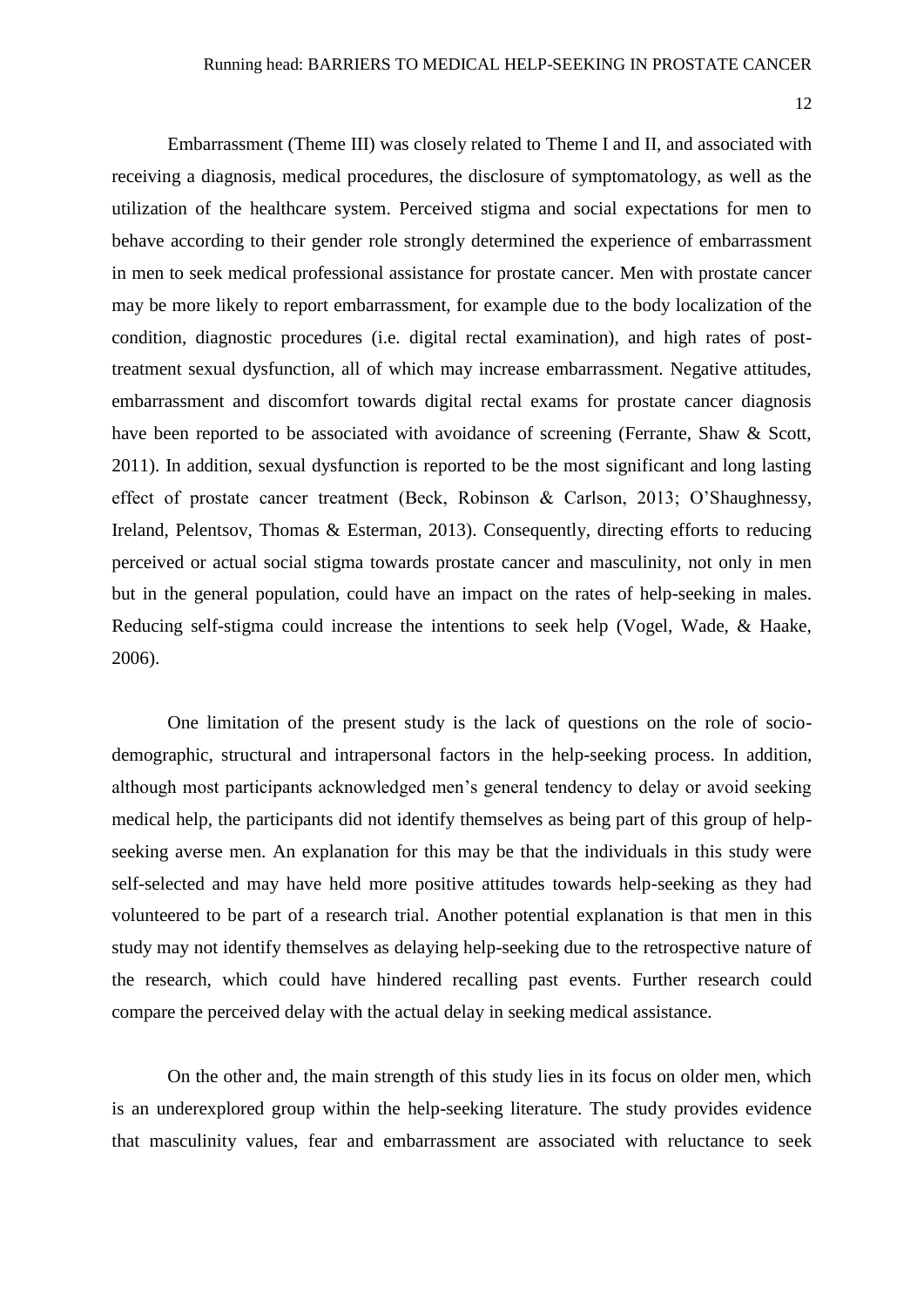Embarrassment (Theme III) was closely related to Theme I and II, and associated with receiving a diagnosis, medical procedures, the disclosure of symptomatology, as well as the utilization of the healthcare system. Perceived stigma and social expectations for men to behave according to their gender role strongly determined the experience of embarrassment in men to seek medical professional assistance for prostate cancer. Men with prostate cancer may be more likely to report embarrassment, for example due to the body localization of the condition, diagnostic procedures (i.e. digital rectal examination), and high rates of posttreatment sexual dysfunction, all of which may increase embarrassment. Negative attitudes, embarrassment and discomfort towards digital rectal exams for prostate cancer diagnosis have been reported to be associated with avoidance of screening (Ferrante, Shaw & Scott, 2011). In addition, sexual dysfunction is reported to be the most significant and long lasting effect of prostate cancer treatment (Beck, Robinson & Carlson, 2013; O'Shaughnessy, Ireland, Pelentsov, Thomas & Esterman, 2013). Consequently, directing efforts to reducing perceived or actual social stigma towards prostate cancer and masculinity, not only in men but in the general population, could have an impact on the rates of help-seeking in males. Reducing self-stigma could increase the intentions to seek help (Vogel, Wade, & Haake, 2006).

One limitation of the present study is the lack of questions on the role of sociodemographic, structural and intrapersonal factors in the help-seeking process. In addition, although most participants acknowledged men's general tendency to delay or avoid seeking medical help, the participants did not identify themselves as being part of this group of helpseeking averse men. An explanation for this may be that the individuals in this study were self-selected and may have held more positive attitudes towards help-seeking as they had volunteered to be part of a research trial. Another potential explanation is that men in this study may not identify themselves as delaying help-seeking due to the retrospective nature of the research, which could have hindered recalling past events. Further research could compare the perceived delay with the actual delay in seeking medical assistance.

On the other and, the main strength of this study lies in its focus on older men, which is an underexplored group within the help-seeking literature. The study provides evidence that masculinity values, fear and embarrassment are associated with reluctance to seek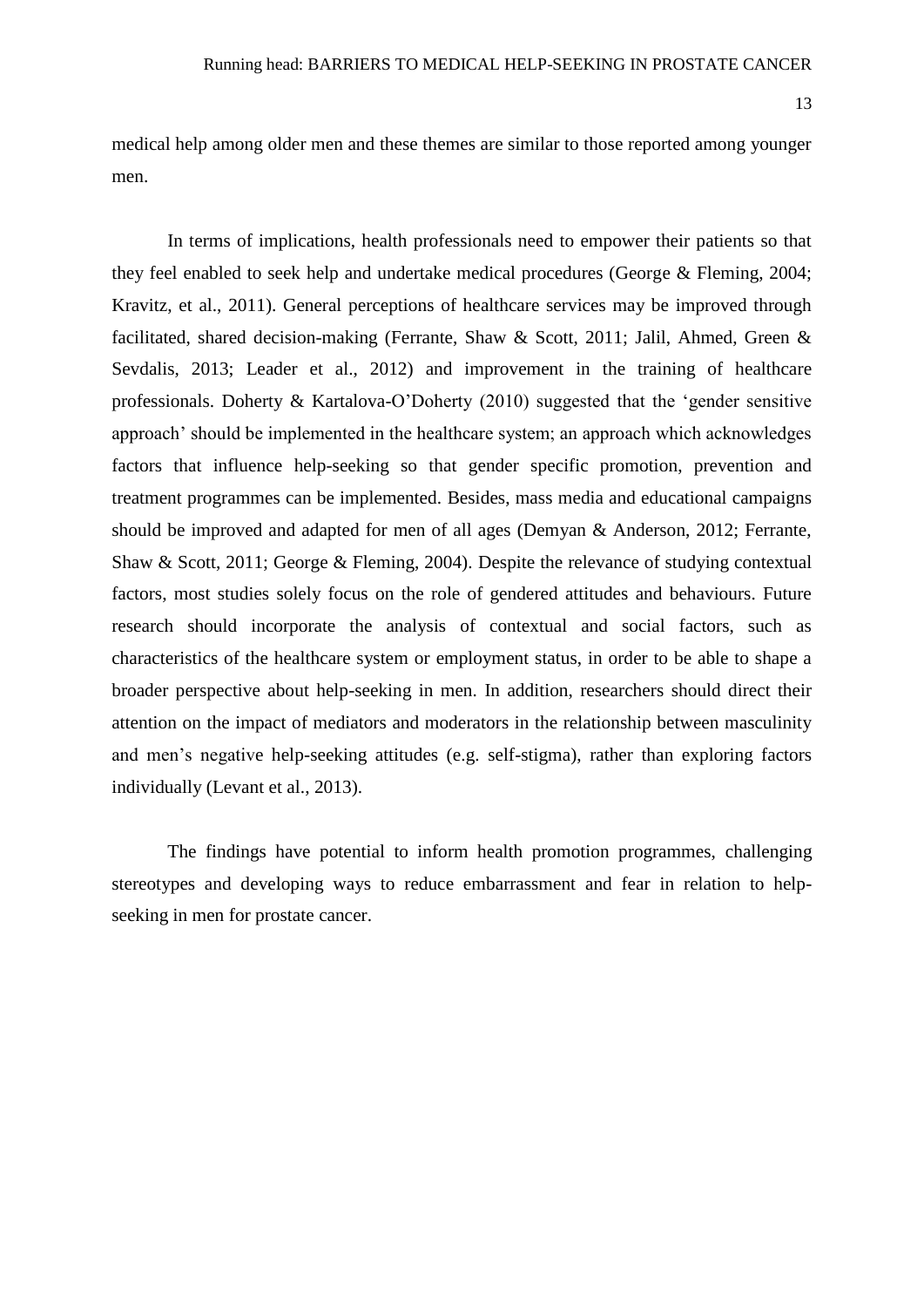medical help among older men and these themes are similar to those reported among younger men.

In terms of implications, health professionals need to empower their patients so that they feel enabled to seek help and undertake medical procedures (George & Fleming, 2004; Kravitz, et al., 2011). General perceptions of healthcare services may be improved through facilitated, shared decision-making (Ferrante, Shaw & Scott, 2011; Jalil, Ahmed, Green & Sevdalis, 2013; Leader et al., 2012) and improvement in the training of healthcare professionals. Doherty & Kartalova-O'Doherty (2010) suggested that the 'gender sensitive approach' should be implemented in the healthcare system; an approach which acknowledges factors that influence help-seeking so that gender specific promotion, prevention and treatment programmes can be implemented. Besides, mass media and educational campaigns should be improved and adapted for men of all ages (Demyan & Anderson, 2012; Ferrante, Shaw & Scott, 2011; George & Fleming, 2004). Despite the relevance of studying contextual factors, most studies solely focus on the role of gendered attitudes and behaviours. Future research should incorporate the analysis of contextual and social factors, such as characteristics of the healthcare system or employment status, in order to be able to shape a broader perspective about help-seeking in men. In addition, researchers should direct their attention on the impact of mediators and moderators in the relationship between masculinity and men's negative help-seeking attitudes (e.g. self-stigma), rather than exploring factors individually (Levant et al., 2013).

The findings have potential to inform health promotion programmes, challenging stereotypes and developing ways to reduce embarrassment and fear in relation to helpseeking in men for prostate cancer.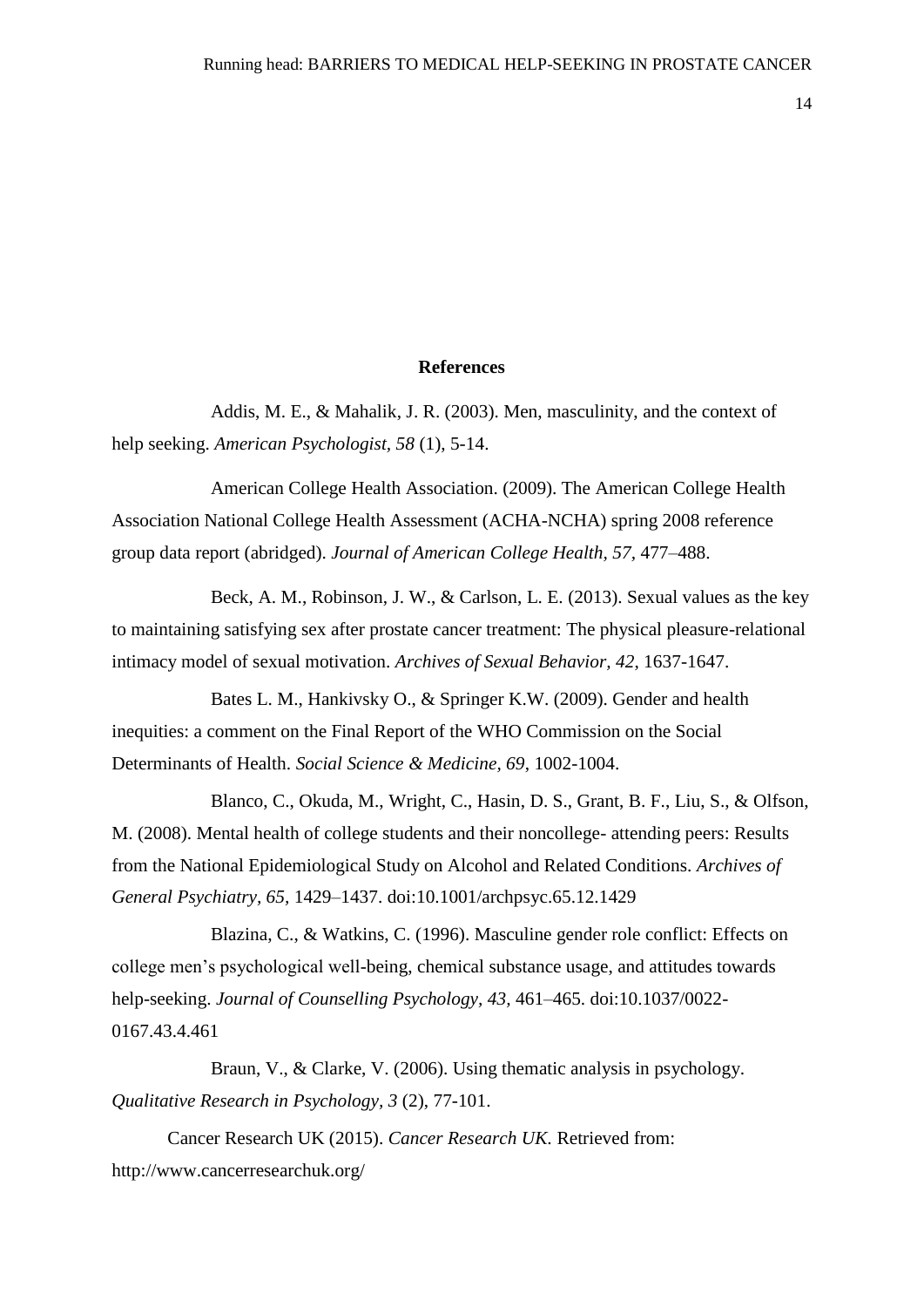#### **References**

Addis, M. E., & Mahalik, J. R. (2003). Men, masculinity, and the context of help seeking. *American Psychologist, 58* (1), 5-14.

American College Health Association. (2009). The American College Health Association National College Health Assessment (ACHA-NCHA) spring 2008 reference group data report (abridged). *Journal of American College Health, 57,* 477–488.

Beck, A. M., Robinson, J. W., & Carlson, L. E. (2013). Sexual values as the key to maintaining satisfying sex after prostate cancer treatment: The physical pleasure-relational intimacy model of sexual motivation. *Archives of Sexual Behavior, 42*, 1637-1647.

Bates L. M., Hankivsky O., & Springer K.W. (2009). Gender and health inequities: a comment on the Final Report of the WHO Commission on the Social Determinants of Health. *Social Science & Medicine, 69*, 1002-1004.

Blanco, C., Okuda, M., Wright, C., Hasin, D. S., Grant, B. F., Liu, S., & Olfson, M. (2008). Mental health of college students and their noncollege- attending peers: Results from the National Epidemiological Study on Alcohol and Related Conditions. *Archives of General Psychiatry, 65,* 1429–1437. doi:10.1001/archpsyc.65.12.1429

Blazina, C., & Watkins, C. (1996). Masculine gender role conflict: Effects on college men's psychological well-being, chemical substance usage, and attitudes towards help-seeking. *Journal of Counselling Psychology, 43,* 461–465. doi:10.1037/0022- 0167.43.4.461

Braun, V., & Clarke, V. (2006). Using thematic analysis in psychology. *Qualitative Research in Psychology, 3* (2), 77-101.

Cancer Research UK (2015). *Cancer Research UK.* Retrieved from: http://www.cancerresearchuk.org/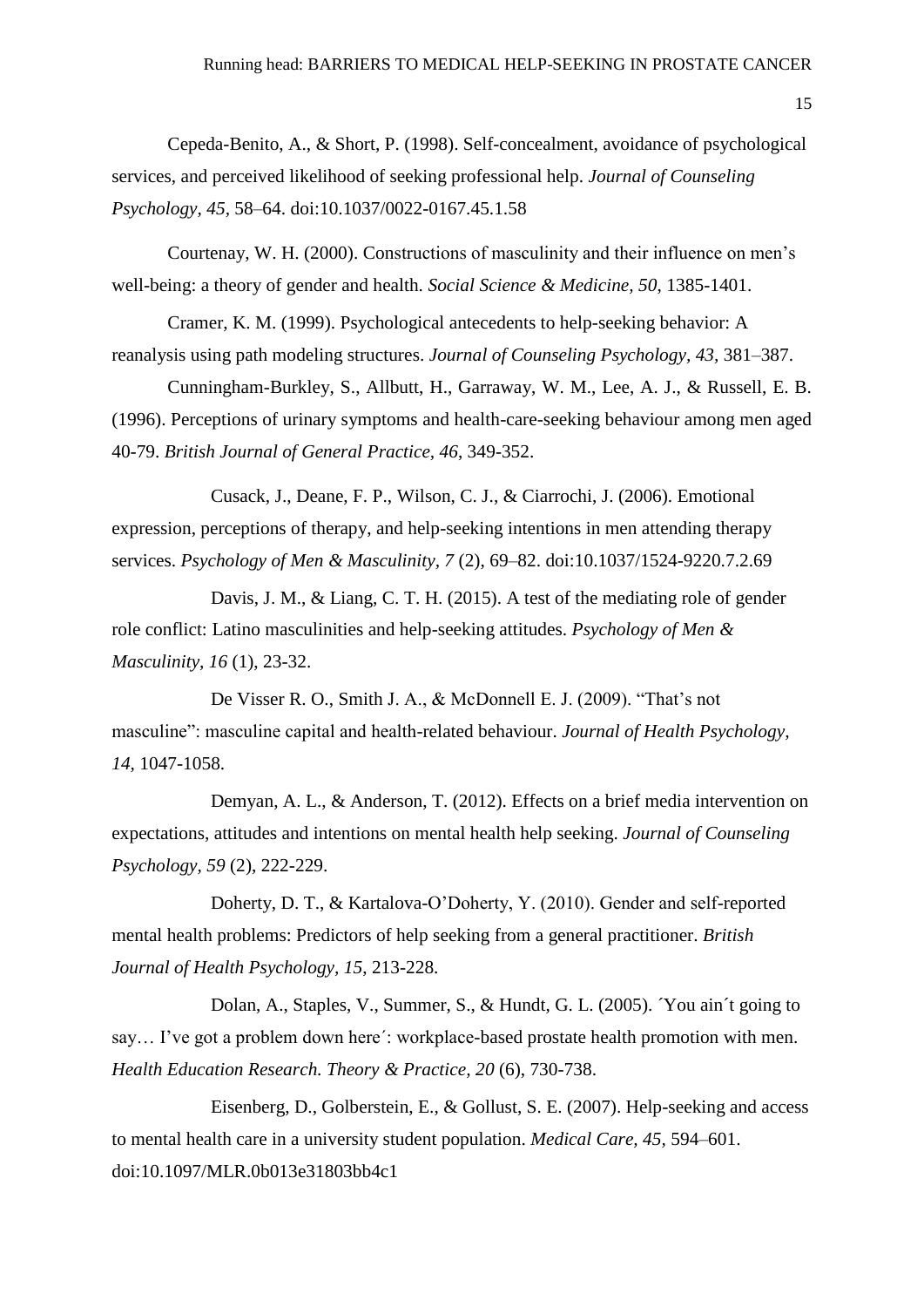Cepeda-Benito, A., & Short, P. (1998). Self-concealment, avoidance of psychological services, and perceived likelihood of seeking professional help. *Journal of Counseling Psychology, 45,* 58–64. doi:10.1037/0022-0167.45.1.58

Courtenay, W. H. (2000). Constructions of masculinity and their influence on men's well-being: a theory of gender and health. *Social Science & Medicine, 50*, 1385-1401.

Cramer, K. M. (1999). Psychological antecedents to help-seeking behavior: A reanalysis using path modeling structures. *Journal of Counseling Psychology, 43,* 381–387.

Cunningham-Burkley, S., Allbutt, H., Garraway, W. M., Lee, A. J., & Russell, E. B. (1996). Perceptions of urinary symptoms and health-care-seeking behaviour among men aged 40-79. *British Journal of General Practice, 46*, 349-352.

Cusack, J., Deane, F. P., Wilson, C. J., & Ciarrochi, J. (2006). Emotional expression, perceptions of therapy, and help-seeking intentions in men attending therapy services. *Psychology of Men & Masculinity, 7* (2), 69–82. doi:10.1037/1524-9220.7.2.69

Davis, J. M., & Liang, C. T. H. (2015). A test of the mediating role of gender role conflict: Latino masculinities and help-seeking attitudes. *Psychology of Men & Masculinity, 16* (1), 23-32.

De Visser R. O., Smith J. A., & McDonnell E. J. (2009). "That's not masculine": masculine capital and health-related behaviour. *Journal of Health Psychology, 14,* 1047-1058.

Demyan, A. L., & Anderson, T. (2012). Effects on a brief media intervention on expectations, attitudes and intentions on mental health help seeking. *Journal of Counseling Psychology, 59* (2), 222-229.

Doherty, D. T., & Kartalova-O'Doherty, Y. (2010). Gender and self-reported mental health problems: Predictors of help seeking from a general practitioner. *British Journal of Health Psychology, 15*, 213-228.

Dolan, A., Staples, V., Summer, S., & Hundt, G. L. (2005). ´You ain´t going to say… I've got a problem down here´: workplace-based prostate health promotion with men. *Health Education Research. Theory & Practice, 20* (6), 730-738.

Eisenberg, D., Golberstein, E., & Gollust, S. E. (2007). Help-seeking and access to mental health care in a university student population. *Medical Care, 45,* 594–601. doi:10.1097/MLR.0b013e31803bb4c1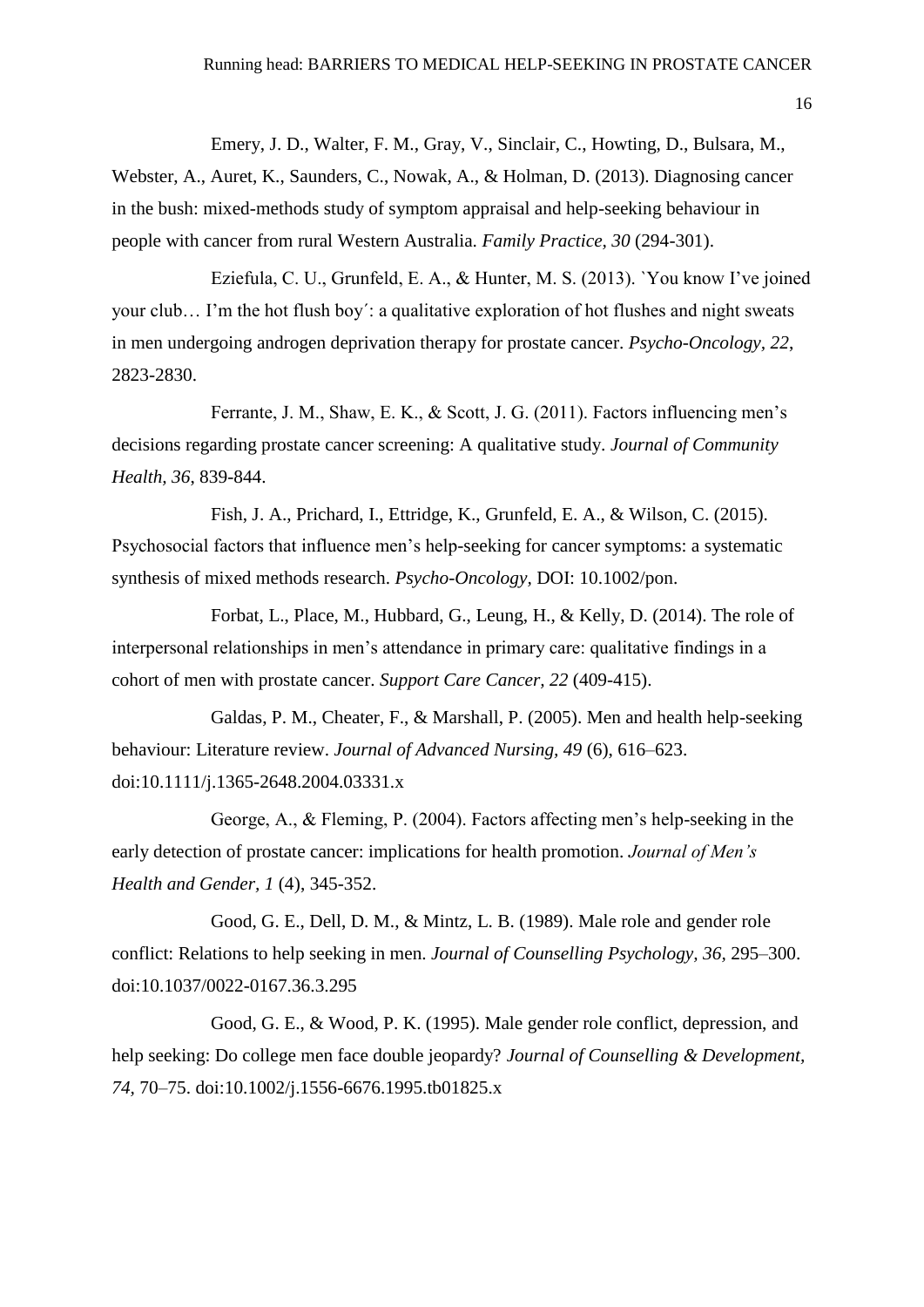Emery, J. D., Walter, F. M., Gray, V., Sinclair, C., Howting, D., Bulsara, M., Webster, A., Auret, K., Saunders, C., Nowak, A., & Holman, D. (2013). Diagnosing cancer in the bush: mixed-methods study of symptom appraisal and help-seeking behaviour in people with cancer from rural Western Australia. *Family Practice, 30* (294-301).

Eziefula, C. U., Grunfeld, E. A., & Hunter, M. S. (2013). `You know I've joined your club… I'm the hot flush boy´: a qualitative exploration of hot flushes and night sweats in men undergoing androgen deprivation therapy for prostate cancer. *Psycho-Oncology, 22*, 2823-2830.

Ferrante, J. M., Shaw, E. K., & Scott, J. G. (2011). Factors influencing men's decisions regarding prostate cancer screening: A qualitative study. *Journal of Community Health, 36*, 839-844.

Fish, J. A., Prichard, I., Ettridge, K., Grunfeld, E. A., & Wilson, C. (2015). Psychosocial factors that influence men's help-seeking for cancer symptoms: a systematic synthesis of mixed methods research. *Psycho-Oncology,* DOI: 10.1002/pon.

Forbat, L., Place, M., Hubbard, G., Leung, H., & Kelly, D. (2014). The role of interpersonal relationships in men's attendance in primary care: qualitative findings in a cohort of men with prostate cancer. *Support Care Cancer, 22* (409-415).

Galdas, P. M., Cheater, F., & Marshall, P. (2005). Men and health help-seeking behaviour: Literature review. *Journal of Advanced Nursing, 49* (6), 616–623. doi:10.1111/j.1365-2648.2004.03331.x

George, A., & Fleming, P. (2004). Factors affecting men's help-seeking in the early detection of prostate cancer: implications for health promotion. *Journal of Men's Health and Gender, 1* (4), 345-352.

Good, G. E., Dell, D. M., & Mintz, L. B. (1989). Male role and gender role conflict: Relations to help seeking in men. *Journal of Counselling Psychology, 36,* 295–300. doi:10.1037/0022-0167.36.3.295

Good, G. E., & Wood, P. K. (1995). Male gender role conflict, depression, and help seeking: Do college men face double jeopardy? *Journal of Counselling & Development, 74,* 70–75. doi:10.1002/j.1556-6676.1995.tb01825.x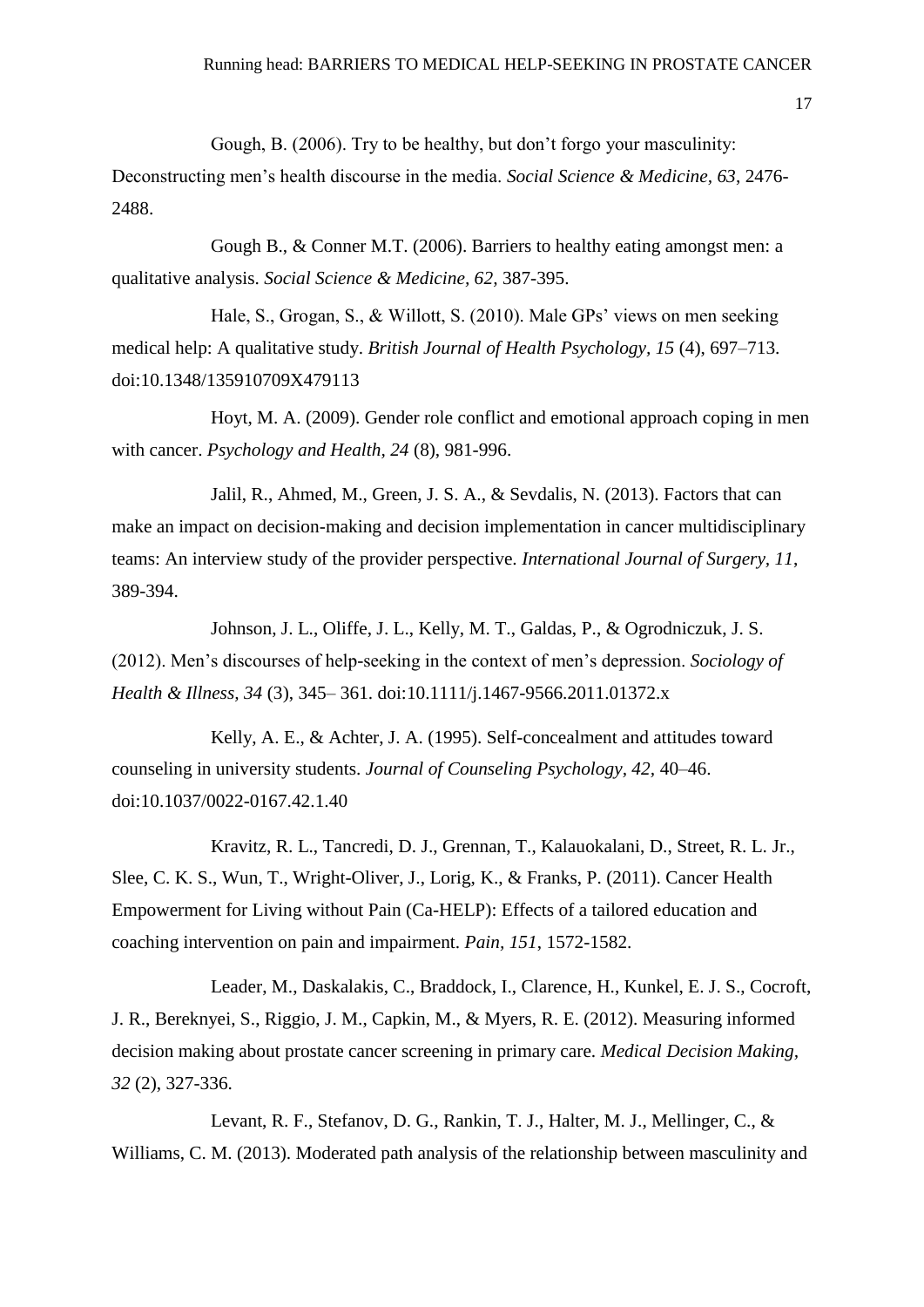Gough, B. (2006). Try to be healthy, but don't forgo your masculinity:

Deconstructing men's health discourse in the media. *Social Science & Medicine, 63*, 2476- 2488.

Gough B., & Conner M.T. (2006). Barriers to healthy eating amongst men: a qualitative analysis. *Social Science & Medicine, 62,* 387-395.

Hale, S., Grogan, S., & Willott, S. (2010). Male GPs' views on men seeking medical help: A qualitative study. *British Journal of Health Psychology, 15* (4), 697–713. doi:10.1348/135910709X479113

Hoyt, M. A. (2009). Gender role conflict and emotional approach coping in men with cancer. *Psychology and Health, 24* (8), 981-996.

Jalil, R., Ahmed, M., Green, J. S. A., & Sevdalis, N. (2013). Factors that can make an impact on decision-making and decision implementation in cancer multidisciplinary teams: An interview study of the provider perspective. *International Journal of Surgery, 11*, 389-394.

Johnson, J. L., Oliffe, J. L., Kelly, M. T., Galdas, P., & Ogrodniczuk, J. S. (2012). Men's discourses of help-seeking in the context of men's depression. *Sociology of Health & Illness, 34* (3), 345– 361. doi:10.1111/j.1467-9566.2011.01372.x

Kelly, A. E., & Achter, J. A. (1995). Self-concealment and attitudes toward counseling in university students. *Journal of Counseling Psychology, 42,* 40–46. doi:10.1037/0022-0167.42.1.40

Kravitz, R. L., Tancredi, D. J., Grennan, T., Kalauokalani, D., Street, R. L. Jr., Slee, C. K. S., Wun, T., Wright-Oliver, J., Lorig, K., & Franks, P. (2011). Cancer Health Empowerment for Living without Pain (Ca-HELP): Effects of a tailored education and coaching intervention on pain and impairment. *Pain, 151*, 1572-1582.

Leader, M., Daskalakis, C., Braddock, I., Clarence, H., Kunkel, E. J. S., Cocroft, J. R., Bereknyei, S., Riggio, J. M., Capkin, M., & Myers, R. E. (2012). Measuring informed decision making about prostate cancer screening in primary care. *Medical Decision Making, 32* (2), 327-336.

Levant, R. F., Stefanov, D. G., Rankin, T. J., Halter, M. J., Mellinger, C., & Williams, C. M. (2013). Moderated path analysis of the relationship between masculinity and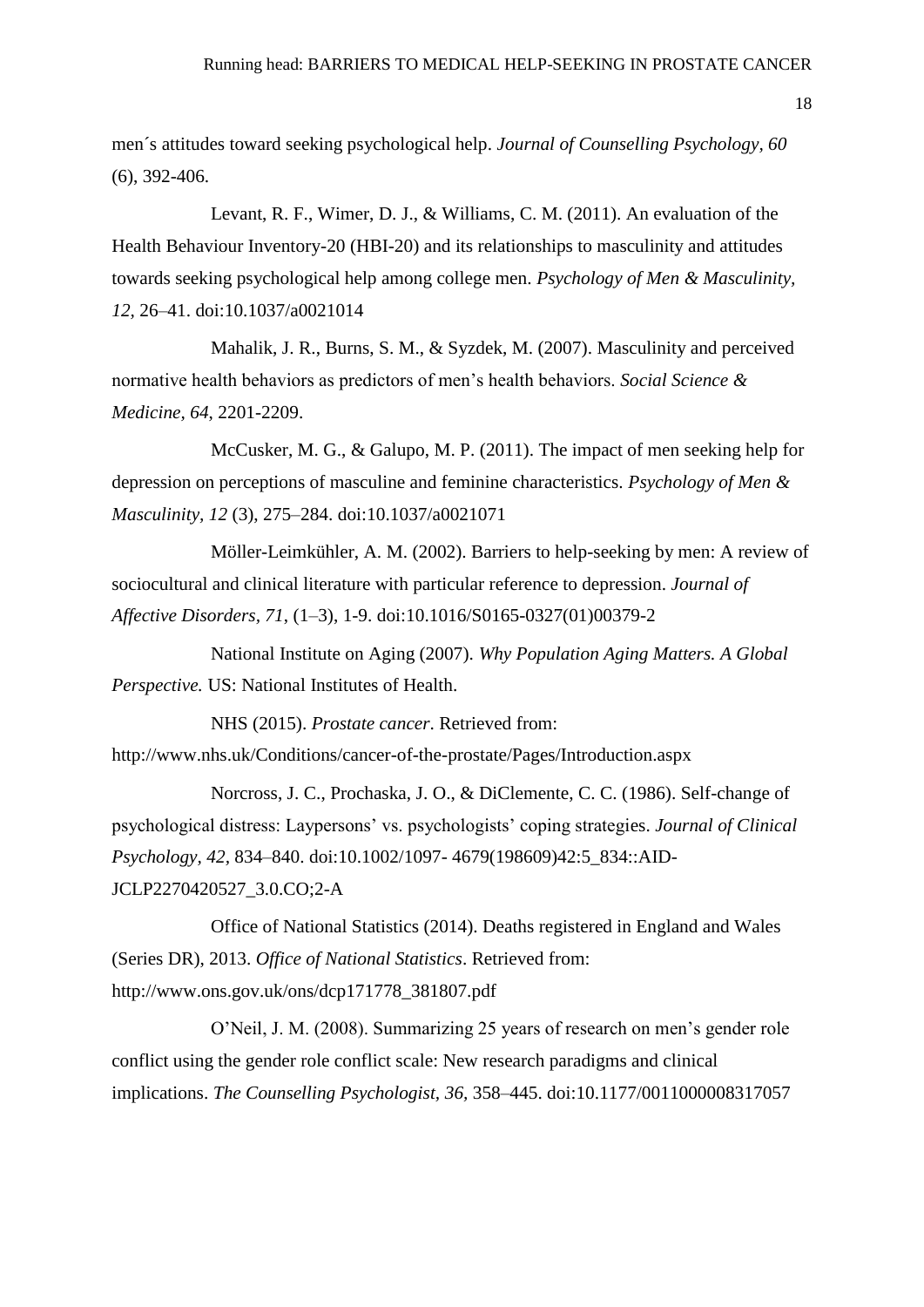men´s attitudes toward seeking psychological help. *Journal of Counselling Psychology, 60* (6), 392-406.

Levant, R. F., Wimer, D. J., & Williams, C. M. (2011). An evaluation of the Health Behaviour Inventory-20 (HBI-20) and its relationships to masculinity and attitudes towards seeking psychological help among college men. *Psychology of Men & Masculinity, 12,* 26–41. doi:10.1037/a0021014

Mahalik, J. R., Burns, S. M., & Syzdek, M. (2007). Masculinity and perceived normative health behaviors as predictors of men's health behaviors. *Social Science & Medicine, 64*, 2201-2209.

McCusker, M. G., & Galupo, M. P. (2011). The impact of men seeking help for depression on perceptions of masculine and feminine characteristics. *Psychology of Men & Masculinity, 12* (3), 275–284. doi:10.1037/a0021071

Möller-Leimkühler, A. M. (2002). Barriers to help-seeking by men: A review of sociocultural and clinical literature with particular reference to depression. *Journal of Affective Disorders, 71*, (1–3), 1-9. doi:10.1016/S0165-0327(01)00379-2

National Institute on Aging (2007). *Why Population Aging Matters. A Global Perspective.* US: National Institutes of Health.

NHS (2015). *Prostate cancer*. Retrieved from: http://www.nhs.uk/Conditions/cancer-of-the-prostate/Pages/Introduction.aspx

Norcross, J. C., Prochaska, J. O., & DiClemente, C. C. (1986). Self-change of psychological distress: Laypersons' vs. psychologists' coping strategies. *Journal of Clinical Psychology, 42,* 834–840. doi:10.1002/1097- 4679(198609)42:5\_834::AID-JCLP2270420527\_3.0.CO;2-A

Office of National Statistics (2014). Deaths registered in England and Wales (Series DR), 2013. *Office of National Statistics*. Retrieved from: http://www.ons.gov.uk/ons/dcp171778\_381807.pdf

O'Neil, J. M. (2008). Summarizing 25 years of research on men's gender role conflict using the gender role conflict scale: New research paradigms and clinical implications. *The Counselling Psychologist, 36,* 358–445. doi:10.1177/0011000008317057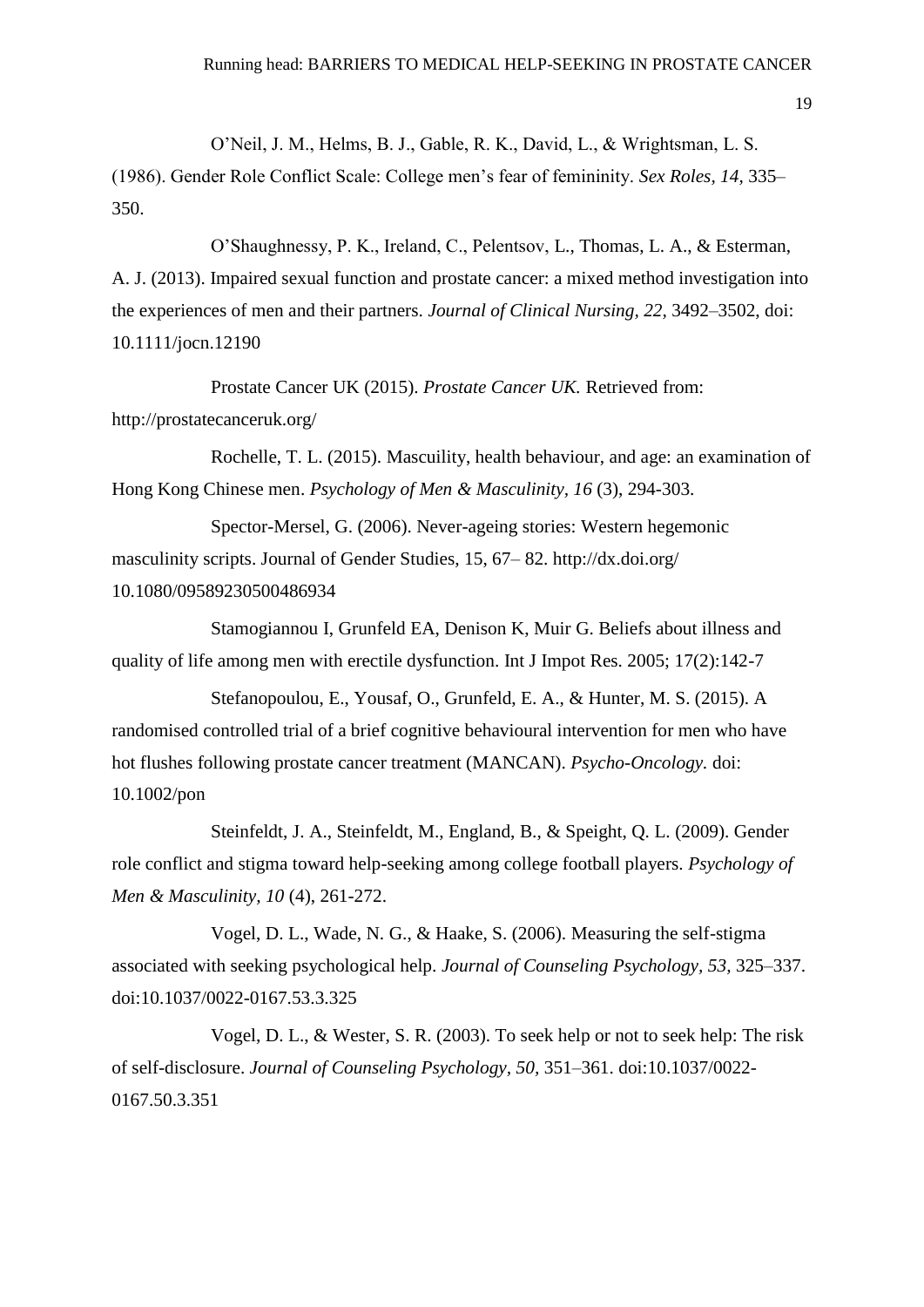O'Neil, J. M., Helms, B. J., Gable, R. K., David, L., & Wrightsman, L. S. (1986). Gender Role Conflict Scale: College men's fear of femininity. *Sex Roles, 14,* 335– 350.

O'Shaughnessy, P. K., Ireland, C., Pelentsov, L., Thomas, L. A., & Esterman, A. J. (2013). Impaired sexual function and prostate cancer: a mixed method investigation into the experiences of men and their partners. *Journal of Clinical Nursing, 22,* 3492–3502, doi: 10.1111/jocn.12190

Prostate Cancer UK (2015). *Prostate Cancer UK.* Retrieved from: <http://prostatecanceruk.org/>

Rochelle, T. L. (2015). Mascuility, health behaviour, and age: an examination of Hong Kong Chinese men. *Psychology of Men & Masculinity, 16* (3), 294-303.

Spector-Mersel, G. (2006). Never-ageing stories: Western hegemonic masculinity scripts. Journal of Gender Studies, 15, 67– 82. http://dx.doi.org/ 10.1080/09589230500486934

Stamogiannou I, Grunfeld EA, Denison K, Muir G. Beliefs about illness and quality of life among men with erectile dysfunction. Int J Impot Res. 2005; 17(2):142-7

Stefanopoulou, E., Yousaf, O., Grunfeld, E. A., & Hunter, M. S. (2015). A randomised controlled trial of a brief cognitive behavioural intervention for men who have hot flushes following prostate cancer treatment (MANCAN). *Psycho-Oncology.* doi: 10.1002/pon

Steinfeldt, J. A., Steinfeldt, M., England, B., & Speight, Q. L. (2009). Gender role conflict and stigma toward help-seeking among college football players. *Psychology of Men & Masculinity, 10* (4), 261-272.

Vogel, D. L., Wade, N. G., & Haake, S. (2006). Measuring the self-stigma associated with seeking psychological help. *Journal of Counseling Psychology, 53,* 325–337. doi:10.1037/0022-0167.53.3.325

Vogel, D. L., & Wester, S. R. (2003). To seek help or not to seek help: The risk of self-disclosure. *Journal of Counseling Psychology, 50,* 351–361. doi:10.1037/0022- 0167.50.3.351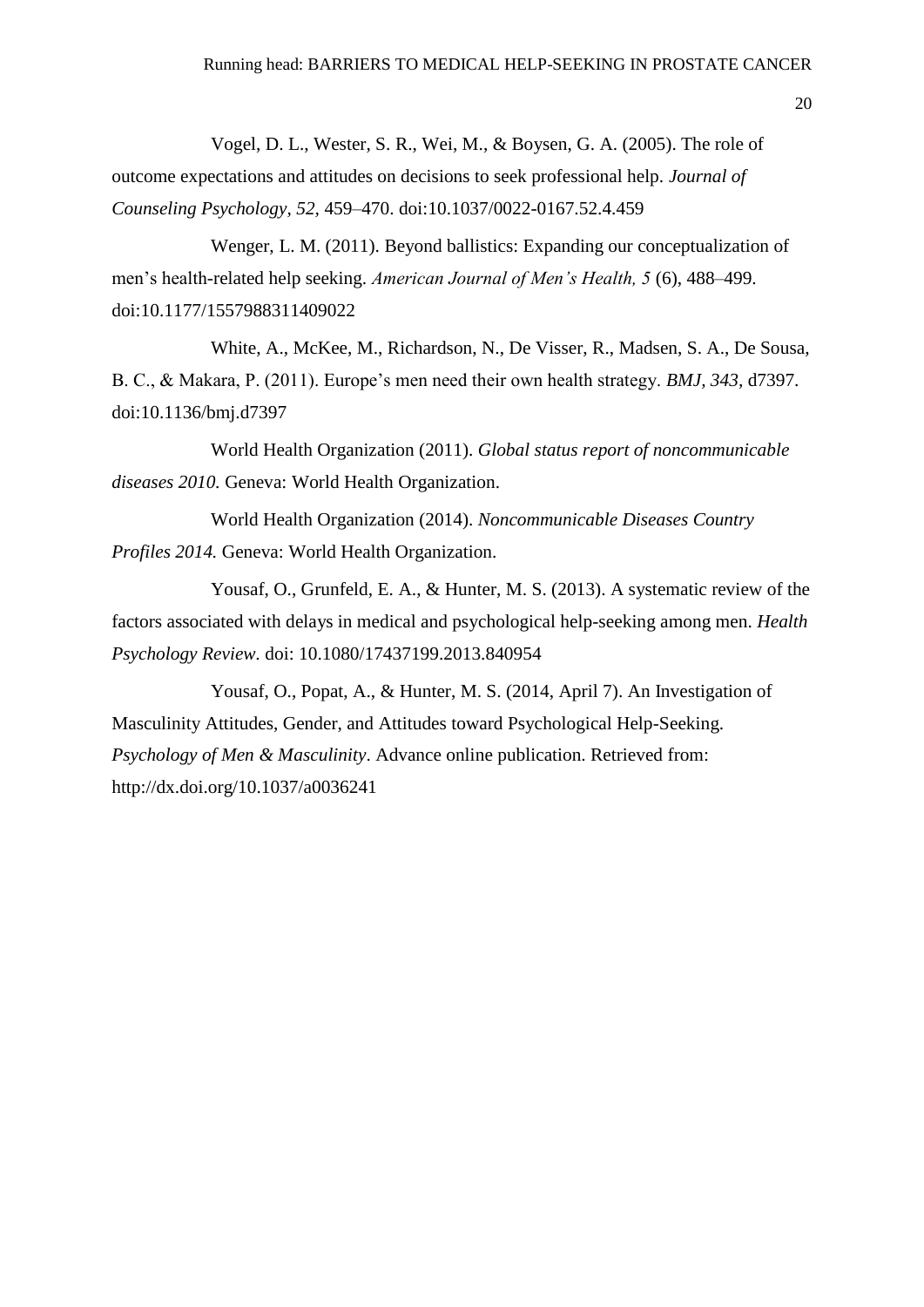Vogel, D. L., Wester, S. R., Wei, M., & Boysen, G. A. (2005). The role of outcome expectations and attitudes on decisions to seek professional help. *Journal of Counseling Psychology, 52,* 459–470. doi:10.1037/0022-0167.52.4.459

Wenger, L. M. (2011). Beyond ballistics: Expanding our conceptualization of men's health-related help seeking. *American Journal of Men's Health, 5* (6), 488–499. doi:10.1177/1557988311409022

White, A., McKee, M., Richardson, N., De Visser, R., Madsen, S. A., De Sousa, B. C., & Makara, P. (2011). Europe's men need their own health strategy. *BMJ, 343,* d7397. doi:10.1136/bmj.d7397

World Health Organization (2011). *Global status report of noncommunicable diseases 2010.* Geneva: World Health Organization.

World Health Organization (2014). *Noncommunicable Diseases Country Profiles 2014.* Geneva: World Health Organization.

Yousaf, O., Grunfeld, E. A., & Hunter, M. S. (2013). A systematic review of the factors associated with delays in medical and psychological help-seeking among men. *Health Psychology Review.* doi: 10.1080/17437199.2013.840954

Yousaf, O., Popat, A., & Hunter, M. S. (2014, April 7). An Investigation of Masculinity Attitudes, Gender, and Attitudes toward Psychological Help-Seeking. *Psychology of Men & Masculinity*. Advance online publication. Retrieved from: http://dx.doi.org/10.1037/a0036241